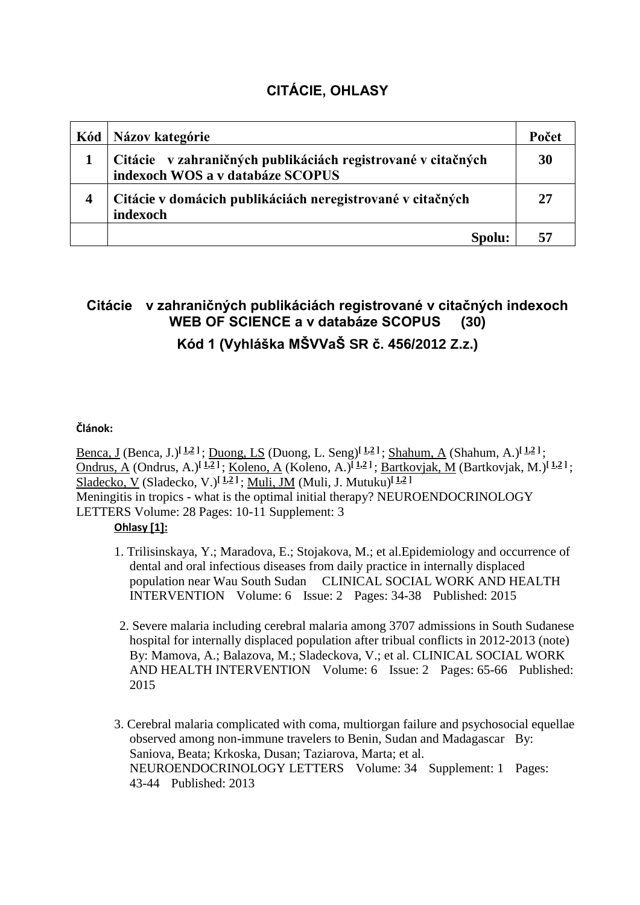# **CITÁCIE, OHLASY**

| Kód | Názov kategórie                                                                                  | Počet |
|-----|--------------------------------------------------------------------------------------------------|-------|
|     | Citácie v zahraničných publikáciách registrované v citačných<br>indexoch WOS a v databáze SCOPUS | 30    |
| 4   | Citácie v domácich publikáciách neregistrované v citačných<br>indexoch                           | 27    |
|     | Spolu:                                                                                           | 57    |

# **Citácie v zahraničných publikáciách registrované v citačných indexoch WEB OF SCIENCE a v databáze SCOPUS (30) Kód 1 (Vyhláška MŠVVaŠ SR č. 456/2012 Z.z.)**

#### **Článok:**

[Benca, J](http://apps.webofknowledge.com.bukz2trh0c7e.han2.savba.sk/DaisyOneClickSearch.do?product=WOS&search_mode=DaisyOneClickSearch&colName=WOS&SID=C6CK3Xj4WkKJydVAUFn&author_name=Benca,%20J&dais_id=678065&excludeEventConfig=ExcludeIfFromFullRecPage) (Benca, J.)**[ [1,](javascript:sup_focus()[2](javascript:sup_focus() ]** ; [Duong, LS](http://apps.webofknowledge.com.bukz2trh0c7e.han2.savba.sk/DaisyOneClickSearch.do?product=WOS&search_mode=DaisyOneClickSearch&colName=WOS&SID=C6CK3Xj4WkKJydVAUFn&author_name=Duong,%20LS&dais_id=4612807&excludeEventConfig=ExcludeIfFromFullRecPage) (Duong, L. Seng)**[\[ 1](javascript:sup_focus()[,2](javascript:sup_focus() ]** ; [Shahum, A](http://apps.webofknowledge.com.bukz2trh0c7e.han2.savba.sk/DaisyOneClickSearch.do?product=WOS&search_mode=DaisyOneClickSearch&colName=WOS&SID=C6CK3Xj4WkKJydVAUFn&author_name=Shahum,%20A&dais_id=1563673&excludeEventConfig=ExcludeIfFromFullRecPage) (Shahum, A.)**[ [1,](javascript:sup_focus()[2](javascript:sup_focus() ]** ; [Ondrus, A](http://apps.webofknowledge.com.bukz2trh0c7e.han2.savba.sk/DaisyOneClickSearch.do?product=WOS&search_mode=DaisyOneClickSearch&colName=WOS&SID=C6CK3Xj4WkKJydVAUFn&author_name=Ondrus,%20A&dais_id=3898443&excludeEventConfig=ExcludeIfFromFullRecPage) (Ondrus, A.)**[\[ 1,](javascript:sup_focus()[2](javascript:sup_focus() ]** ; [Koleno, A](http://apps.webofknowledge.com.bukz2trh0c7e.han2.savba.sk/DaisyOneClickSearch.do?product=WOS&search_mode=DaisyOneClickSearch&colName=WOS&SID=C6CK3Xj4WkKJydVAUFn&author_name=Koleno,%20A&dais_id=10466376&excludeEventConfig=ExcludeIfFromFullRecPage) (Koleno, A.)**[\[ 1](javascript:sup_focus()[,2](javascript:sup_focus() ]** ; [Bartkovjak, M](http://apps.webofknowledge.com.bukz2trh0c7e.han2.savba.sk/DaisyOneClickSearch.do?product=WOS&search_mode=DaisyOneClickSearch&colName=WOS&SID=C6CK3Xj4WkKJydVAUFn&author_name=Bartkovjak,%20M&dais_id=2541721&excludeEventConfig=ExcludeIfFromFullRecPage) (Bartkovjak, M.)**[ [1](javascript:sup_focus()[,2](javascript:sup_focus() ]** ; [Sladecko, V](http://apps.webofknowledge.com.bukz2trh0c7e.han2.savba.sk/DaisyOneClickSearch.do?product=WOS&search_mode=DaisyOneClickSearch&colName=WOS&SID=C6CK3Xj4WkKJydVAUFn&author_name=Sladecko,%20V&dais_id=9646281&excludeEventConfig=ExcludeIfFromFullRecPage) (Sladecko, V.)**[ [1](javascript:sup_focus()[,2](javascript:sup_focus() ]** ; [Muli, JM](http://apps.webofknowledge.com.bukz2trh0c7e.han2.savba.sk/DaisyOneClickSearch.do?product=WOS&search_mode=DaisyOneClickSearch&colName=WOS&SID=C6CK3Xj4WkKJydVAUFn&author_name=Muli,%20JM&dais_id=3628541&excludeEventConfig=ExcludeIfFromFullRecPage) (Muli, J. Mutuku)**[\[ 1](javascript:sup_focus()[,2](javascript:sup_focus() ]**  Meningitis in tropics - what is the optimal initial therapy? NEUROENDOCRINOLOGY LETTERS Volume: 28 Pages: 10-11 Supplement: 3

## **Ohlasy 1:**

- 1. [Trilisinskaya, Y.;](http://apps.webofknowledge.com.bukz2trh0c7e.han2.savba.sk/DaisyOneClickSearch.do?product=WOS&search_mode=DaisyOneClickSearch&colName=WOS&SID=C6CK3Xj4WkKJydVAUFn&author_name=Trilisinskaya,%20Y.&dais_id=9470936&excludeEventConfig=ExcludeIfFromFullRecPage) [Maradova, E.;](http://apps.webofknowledge.com.bukz2trh0c7e.han2.savba.sk/DaisyOneClickSearch.do?product=WOS&search_mode=DaisyOneClickSearch&colName=WOS&SID=C6CK3Xj4WkKJydVAUFn&author_name=Maradova,%20E.&dais_id=7848253&excludeEventConfig=ExcludeIfFromFullRecPage) [Stojakova, M.;](http://apps.webofknowledge.com.bukz2trh0c7e.han2.savba.sk/DaisyOneClickSearch.do?product=WOS&search_mode=DaisyOneClickSearch&colName=WOS&SID=C6CK3Xj4WkKJydVAUFn&author_name=Stojakova,%20M.&dais_id=20047470&excludeEventConfig=ExcludeIfFromFullRecPage) et al[.Epidemiology and occurrence of](http://apps.webofknowledge.com.bukz2trh0c7e.han2.savba.sk/full_record.do?product=WOS&search_mode=CitingArticles&qid=14&SID=C6CK3Xj4WkKJydVAUFn&page=1&doc=1)  [dental and oral infectious diseases from daily practice in internally displaced](http://apps.webofknowledge.com.bukz2trh0c7e.han2.savba.sk/full_record.do?product=WOS&search_mode=CitingArticles&qid=14&SID=C6CK3Xj4WkKJydVAUFn&page=1&doc=1)  [population near Wau South Sudan](http://apps.webofknowledge.com.bukz2trh0c7e.han2.savba.sk/full_record.do?product=WOS&search_mode=CitingArticles&qid=14&SID=C6CK3Xj4WkKJydVAUFn&page=1&doc=1) CLINICAL SOCIAL WORK AND HEALTH INTERVENTION Volume: 6 Issue: 2 Pages: 34-38 Published: 2015
- 2. [Severe malaria including cerebral malaria among 3707 admissions in South Sudanese](http://apps.webofknowledge.com.bukz2trh0c7e.han2.savba.sk/full_record.do?product=WOS&search_mode=CitingArticles&qid=14&SID=C6CK3Xj4WkKJydVAUFn&page=1&doc=2)  [hospital for internally displaced population after tribual conflicts in 2012-2013 \(note\)](http://apps.webofknowledge.com.bukz2trh0c7e.han2.savba.sk/full_record.do?product=WOS&search_mode=CitingArticles&qid=14&SID=C6CK3Xj4WkKJydVAUFn&page=1&doc=2)  By: [Mamova, A.;](http://apps.webofknowledge.com.bukz2trh0c7e.han2.savba.sk/DaisyOneClickSearch.do?product=WOS&search_mode=DaisyOneClickSearch&colName=WOS&SID=C6CK3Xj4WkKJydVAUFn&author_name=Mamova,%20A.&dais_id=3290508&excludeEventConfig=ExcludeIfFromFullRecPage) [Balazova, M.;](http://apps.webofknowledge.com.bukz2trh0c7e.han2.savba.sk/DaisyOneClickSearch.do?product=WOS&search_mode=DaisyOneClickSearch&colName=WOS&SID=C6CK3Xj4WkKJydVAUFn&author_name=Balazova,%20M.&dais_id=11336514&excludeEventConfig=ExcludeIfFromFullRecPage) [Sladeckova, V.;](http://apps.webofknowledge.com.bukz2trh0c7e.han2.savba.sk/DaisyOneClickSearch.do?product=WOS&search_mode=DaisyOneClickSearch&colName=WOS&SID=C6CK3Xj4WkKJydVAUFn&author_name=Sladeckova,%20V.&dais_id=1696654&excludeEventConfig=ExcludeIfFromFullRecPage) et al. CLINICAL SOCIAL WORK AND HEALTH INTERVENTION Volume: 6 Issue: 2 Pages: 65-66 Published: 2015
- 3. [Cerebral malaria complicated with coma, multiorgan failure and psychosocial equellae](http://apps.webofknowledge.com.bukz2trh0c7e.han2.savba.sk/full_record.do?product=WOS&search_mode=CitingArticles&qid=14&SID=C6CK3Xj4WkKJydVAUFn&page=1&doc=3)  [observed among non-immune travelers to Benin, Sudan and Madagascar](http://apps.webofknowledge.com.bukz2trh0c7e.han2.savba.sk/full_record.do?product=WOS&search_mode=CitingArticles&qid=14&SID=C6CK3Xj4WkKJydVAUFn&page=1&doc=3) By: [Saniova, Beata;](http://apps.webofknowledge.com.bukz2trh0c7e.han2.savba.sk/DaisyOneClickSearch.do?product=WOS&search_mode=DaisyOneClickSearch&colName=WOS&SID=C6CK3Xj4WkKJydVAUFn&author_name=Saniova,%20Beata&dais_id=1955519&excludeEventConfig=ExcludeIfFromFullRecPage) [Krkoska, Dusan;](http://apps.webofknowledge.com.bukz2trh0c7e.han2.savba.sk/DaisyOneClickSearch.do?product=WOS&search_mode=DaisyOneClickSearch&colName=WOS&SID=C6CK3Xj4WkKJydVAUFn&author_name=Krkoska,%20Dusan&dais_id=9301018&excludeEventConfig=ExcludeIfFromFullRecPage) [Taziarova, Marta;](http://apps.webofknowledge.com.bukz2trh0c7e.han2.savba.sk/DaisyOneClickSearch.do?product=WOS&search_mode=DaisyOneClickSearch&colName=WOS&SID=C6CK3Xj4WkKJydVAUFn&author_name=Taziarova,%20Marta&dais_id=2377075&excludeEventConfig=ExcludeIfFromFullRecPage) et al. [NEUROENDOCRINOLOGY LETTERS](javascript:;) Volume: 34 Supplement: 1 Pages: 43-44 Published: 2013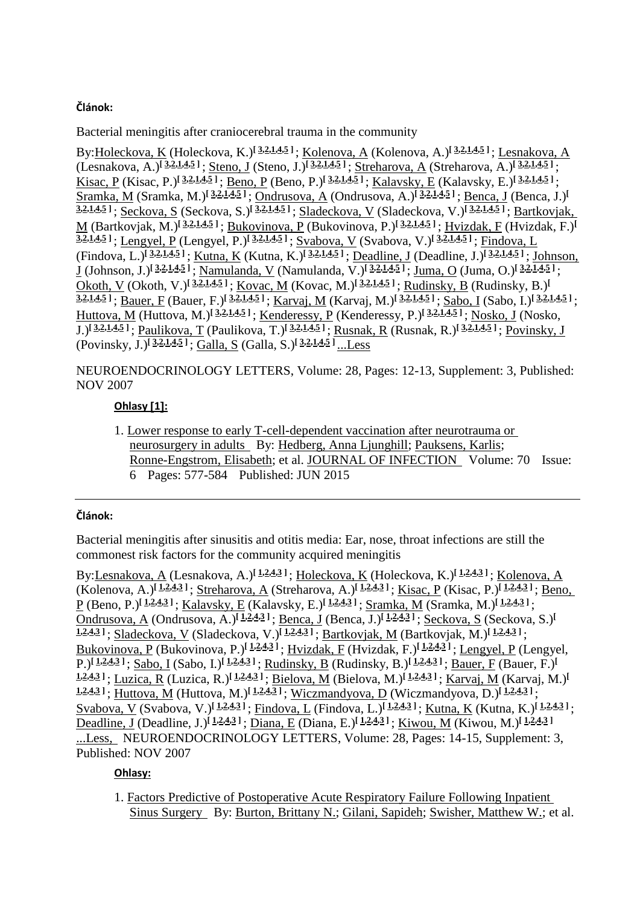# **Článok:**

Bacterial meningitis after craniocerebral trauma in the community

By[:Holeckova, K](http://apps.webofknowledge.com.bukz2trh0c7e.han2.savba.sk/DaisyOneClickSearch.do?product=WOS&search_mode=DaisyOneClickSearch&colName=WOS&SID=C6CK3Xj4WkKJydVAUFn&author_name=Holeckova,%20K&dais_id=2290643&excludeEventConfig=ExcludeIfFromFullRecPage) (Holeckova, K.)**[\[ 3](javascript:sup_focus()[,2](javascript:sup_focus()[,1](javascript:sup_focus()[,4](javascript:sup_focus()[,5](javascript:sup_focus() ]** ; [Kolenova, A](http://apps.webofknowledge.com.bukz2trh0c7e.han2.savba.sk/DaisyOneClickSearch.do?product=WOS&search_mode=DaisyOneClickSearch&colName=WOS&SID=C6CK3Xj4WkKJydVAUFn&author_name=Kolenova,%20A&dais_id=809720&excludeEventConfig=ExcludeIfFromFullRecPage) (Kolenova, A.)**[\[ 3,](javascript:sup_focus()[2,](javascript:sup_focus()[1,](javascript:sup_focus()[4,](javascript:sup_focus()[5](javascript:sup_focus() ]** ; [Lesnakova, A](http://apps.webofknowledge.com.bukz2trh0c7e.han2.savba.sk/DaisyOneClickSearch.do?product=WOS&search_mode=DaisyOneClickSearch&colName=WOS&SID=C6CK3Xj4WkKJydVAUFn&author_name=Lesnakova,%20A&dais_id=3601447&excludeEventConfig=ExcludeIfFromFullRecPage) (Lesnakova, A.)<sup>[3[,2](javascript:sup_focus()[,1](javascript:sup_focus()[,4](javascript:sup_focus()[,5](javascript:sup_focus()]</sup>; [Steno, J](http://apps.webofknowledge.com.bukz2trh0c7e.han2.savba.sk/DaisyOneClickSearch.do?product=WOS&search_mode=DaisyOneClickSearch&colName=WOS&SID=C6CK3Xj4WkKJydVAUFn&author_name=Steno,%20J&dais_id=742233&excludeEventConfig=ExcludeIfFromFullRecPage) (Steno, J.)<sup>[3,2,1,4,5]</sup>; [Streharova, A](http://apps.webofknowledge.com.bukz2trh0c7e.han2.savba.sk/DaisyOneClickSearch.do?product=WOS&search_mode=DaisyOneClickSearch&colName=WOS&SID=C6CK3Xj4WkKJydVAUFn&author_name=Streharova,%20A&dais_id=2871875&excludeEventConfig=ExcludeIfFromFullRecPage) (Streharova, A.)<sup>[3,[2](javascript:sup_focus(),1,4,5]</sup>; [Kisac, P](http://apps.webofknowledge.com.bukz2trh0c7e.han2.savba.sk/DaisyOneClickSearch.do?product=WOS&search_mode=DaisyOneClickSearch&colName=WOS&SID=C6CK3Xj4WkKJydVAUFn&author_name=Kisac,%20P&dais_id=750796&excludeEventConfig=ExcludeIfFromFullRecPage) (Kisac, P.)<sup>[3,[2,](javascript:sup_focus()[1,](javascript:sup_focus()[4,](javascript:sup_focus()[5](javascript:sup_focus()]</sup>; [Beno, P](http://apps.webofknowledge.com.bukz2trh0c7e.han2.savba.sk/DaisyOneClickSearch.do?product=WOS&search_mode=DaisyOneClickSearch&colName=WOS&SID=C6CK3Xj4WkKJydVAUFn&author_name=Beno,%20P&dais_id=2056388&excludeEventConfig=ExcludeIfFromFullRecPage) (Beno, P.)<sup>[3[,2](javascript:sup_focus()[,1](javascript:sup_focus()[,4](javascript:sup_focus()[,5](javascript:sup_focus()]</sup>; [Kalavsky, E](http://apps.webofknowledge.com.bukz2trh0c7e.han2.savba.sk/DaisyOneClickSearch.do?product=WOS&search_mode=DaisyOneClickSearch&colName=WOS&SID=C6CK3Xj4WkKJydVAUFn&author_name=Kalavsky,%20E&dais_id=1036023&excludeEventConfig=ExcludeIfFromFullRecPage) (Kalavsky, E.)<sup>[3,2,1,4,5]</sup>; [Sramka, M](http://apps.webofknowledge.com.bukz2trh0c7e.han2.savba.sk/DaisyOneClickSearch.do?product=WOS&search_mode=DaisyOneClickSearch&colName=WOS&SID=C6CK3Xj4WkKJydVAUFn&author_name=Sramka,%20M&dais_id=1486054&excludeEventConfig=ExcludeIfFromFullRecPage) (Sramka, M.)**[\[ 3](javascript:sup_focus()[,2](javascript:sup_focus()[,1](javascript:sup_focus()[,4](javascript:sup_focus()[,5](javascript:sup_focus() ]** ; [Ondrusova, A](http://apps.webofknowledge.com.bukz2trh0c7e.han2.savba.sk/DaisyOneClickSearch.do?product=WOS&search_mode=DaisyOneClickSearch&colName=WOS&SID=C6CK3Xj4WkKJydVAUFn&author_name=Ondrusova,%20A&dais_id=1288561&excludeEventConfig=ExcludeIfFromFullRecPage) (Ondrusova, A.)**[\[ 3,](javascript:sup_focus()[2,](javascript:sup_focus()[1,](javascript:sup_focus()[4,](javascript:sup_focus()[5](javascript:sup_focus() ]** ; [Benca, J](http://apps.webofknowledge.com.bukz2trh0c7e.han2.savba.sk/DaisyOneClickSearch.do?product=WOS&search_mode=DaisyOneClickSearch&colName=WOS&SID=C6CK3Xj4WkKJydVAUFn&author_name=Benca,%20J&dais_id=678065&excludeEventConfig=ExcludeIfFromFullRecPage) (Benca, J.)**[**   $\frac{32.1451}{22.1451}$  $\frac{32.1451}{22.1451}$  $\frac{32.1451}{22.1451}$  $\frac{32.1451}{22.1451}$  $\frac{32.1451}{22.1451}$ ; [Seckova, S](http://apps.webofknowledge.com.bukz2trh0c7e.han2.savba.sk/DaisyOneClickSearch.do?product=WOS&search_mode=DaisyOneClickSearch&colName=WOS&SID=C6CK3Xj4WkKJydVAUFn&author_name=Seckova,%20S&dais_id=2310512&excludeEventConfig=ExcludeIfFromFullRecPage). (Seckova, S.)<sup>[ $\frac{32.1451}{22.1451}$ ; [Sladeckova, V](http://apps.webofknowledge.com.bukz2trh0c7e.han2.savba.sk/DaisyOneClickSearch.do?product=WOS&search_mode=DaisyOneClickSearch&colName=WOS&SID=C6CK3Xj4WkKJydVAUFn&author_name=Sladeckova,%20V&dais_id=1696654&excludeEventConfig=ExcludeIfFromFullRecPage). (Sladeckova, V.)<sup>[ $\frac{32.1451}{22.1451}$ </sup>; Bartkovjak,</sup> [M](http://apps.webofknowledge.com.bukz2trh0c7e.han2.savba.sk/DaisyOneClickSearch.do?product=WOS&search_mode=DaisyOneClickSearch&colName=WOS&SID=C6CK3Xj4WkKJydVAUFn&author_name=Bartkovjak,%20M&dais_id=2541721&excludeEventConfig=ExcludeIfFromFullRecPage) (Bartkovjak, M.)**[\[ 3](javascript:sup_focus()[,2](javascript:sup_focus()[,1](javascript:sup_focus()[,4](javascript:sup_focus()[,5](javascript:sup_focus() ]** ; [Bukovinova, P](http://apps.webofknowledge.com.bukz2trh0c7e.han2.savba.sk/DaisyOneClickSearch.do?product=WOS&search_mode=DaisyOneClickSearch&colName=WOS&SID=C6CK3Xj4WkKJydVAUFn&author_name=Bukovinova,%20P&dais_id=2450706&excludeEventConfig=ExcludeIfFromFullRecPage) (Bukovinova, P.)**[\[ 3,](javascript:sup_focus()[2,](javascript:sup_focus()[1,](javascript:sup_focus()[4,](javascript:sup_focus()[5](javascript:sup_focus() ]** ; [Hvizdak, F](http://apps.webofknowledge.com.bukz2trh0c7e.han2.savba.sk/DaisyOneClickSearch.do?product=WOS&search_mode=DaisyOneClickSearch&colName=WOS&SID=C6CK3Xj4WkKJydVAUFn&author_name=Hvizdak,%20F&dais_id=4913495&excludeEventConfig=ExcludeIfFromFullRecPage) (Hvizdak, F.)**[**  [3](javascript:sup_focus().2.1.4.5]; [Lengyel, P](http://apps.webofknowledge.com.bukz2trh0c7e.han2.savba.sk/DaisyOneClickSearch.do?product=WOS&search_mode=DaisyOneClickSearch&colName=WOS&SID=C6CK3Xj4WkKJydVAUFn&author_name=Lengyel,%20P&dais_id=93517&excludeEventConfig=ExcludeIfFromFullRecPage) (Lengyel, P.)<sup>[3.2.1.4.[5](javascript:sup_focus()]</sup>; [Svabova, V](http://apps.webofknowledge.com.bukz2trh0c7e.han2.savba.sk/DaisyOneClickSearch.do?product=WOS&search_mode=DaisyOneClickSearch&colName=WOS&SID=C6CK3Xj4WkKJydVAUFn&author_name=Svabova,%20V&dais_id=2772802&excludeEventConfig=ExcludeIfFromFullRecPage) (Svabova, V.)<sup>[3.2.1.4.5]</sup>; [Findova, L](http://apps.webofknowledge.com.bukz2trh0c7e.han2.savba.sk/DaisyOneClickSearch.do?product=WOS&search_mode=DaisyOneClickSearch&colName=WOS&SID=C6CK3Xj4WkKJydVAUFn&author_name=Findova,%20L&dais_id=3775145&excludeEventConfig=ExcludeIfFromFullRecPage) (Findova, L.)<sup>[3[,2](javascript:sup_focus()[,1](javascript:sup_focus()[,4](javascript:sup_focus()[,5](javascript:sup_focus()]</sup>; [Kutna, K](http://apps.webofknowledge.com.bukz2trh0c7e.han2.savba.sk/DaisyOneClickSearch.do?product=WOS&search_mode=DaisyOneClickSearch&colName=WOS&SID=C6CK3Xj4WkKJydVAUFn&author_name=Kutna,%20K&dais_id=6055803&excludeEventConfig=ExcludeIfFromFullRecPage).(Kutna, K.)<sup>[3,[2](javascript:sup_focus(),1,4,5]</sup>; [Deadline, J](http://apps.webofknowledge.com.bukz2trh0c7e.han2.savba.sk/DaisyOneClickSearch.do?product=WOS&search_mode=DaisyOneClickSearch&colName=WOS&SID=C6CK3Xj4WkKJydVAUFn&author_name=Deadline,%20J&dais_id=6595317&excludeEventConfig=ExcludeIfFromFullRecPage).(Deadline, J.)<sup>[3,[2,](javascript:sup_focus()[1,](javascript:sup_focus()[4,](javascript:sup_focus()[5](javascript:sup_focus()]</sup>; Johnson, [J](http://apps.webofknowledge.com.bukz2trh0c7e.han2.savba.sk/DaisyOneClickSearch.do?product=WOS&search_mode=DaisyOneClickSearch&colName=WOS&SID=C6CK3Xj4WkKJydVAUFn&author_name=Johnson,%20J&dais_id=22065310&excludeEventConfig=ExcludeIfFromFullRecPage) (Johnson, J.)<sup>[3[,2](javascript:sup_focus()[,1](javascript:sup_focus()[,4](javascript:sup_focus()[,5](javascript:sup_focus()]</sup>; [Namulanda, V](http://apps.webofknowledge.com.bukz2trh0c7e.han2.savba.sk/DaisyOneClickSearch.do?product=WOS&search_mode=DaisyOneClickSearch&colName=WOS&SID=C6CK3Xj4WkKJydVAUFn&author_name=Namulanda,%20V&dais_id=8537615&excludeEventConfig=ExcludeIfFromFullRecPage) (Namulanda, V.)<sup>[3,[2](javascript:sup_focus(),1,4,5]</sup>; [Juma, O](http://apps.webofknowledge.com.bukz2trh0c7e.han2.savba.sk/DaisyOneClickSearch.do?product=WOS&search_mode=DaisyOneClickSearch&colName=WOS&SID=C6CK3Xj4WkKJydVAUFn&author_name=Juma,%20O&dais_id=13458537&excludeEventConfig=ExcludeIfFromFullRecPage) (Juma, O.)<sup>[3,[2,](javascript:sup_focus()[1,](javascript:sup_focus()[4,](javascript:sup_focus()[5](javascript:sup_focus()]</sup>; [Okoth, V](http://apps.webofknowledge.com.bukz2trh0c7e.han2.savba.sk/DaisyOneClickSearch.do?product=WOS&search_mode=DaisyOneClickSearch&colName=WOS&SID=C6CK3Xj4WkKJydVAUFn&author_name=Okoth,%20V&dais_id=8017228&excludeEventConfig=ExcludeIfFromFullRecPage) (Okoth, V.)**[ [3,](javascript:sup_focus()[2](javascript:sup_focus()[,1](javascript:sup_focus()[,4](javascript:sup_focus()[,5](javascript:sup_focus() ]** ; [Kovac, M](http://apps.webofknowledge.com.bukz2trh0c7e.han2.savba.sk/DaisyOneClickSearch.do?product=WOS&search_mode=DaisyOneClickSearch&colName=WOS&SID=C6CK3Xj4WkKJydVAUFn&author_name=Kovac,%20M&dais_id=2549776&excludeEventConfig=ExcludeIfFromFullRecPage) (Kovac, M.)**[\[ 3,](javascript:sup_focus()[2,](javascript:sup_focus()[1,](javascript:sup_focus()[4,](javascript:sup_focus()[5](javascript:sup_focus() ]** ; [Rudinsky, B](http://apps.webofknowledge.com.bukz2trh0c7e.han2.savba.sk/DaisyOneClickSearch.do?product=WOS&search_mode=DaisyOneClickSearch&colName=WOS&SID=C6CK3Xj4WkKJydVAUFn&author_name=Rudinsky,%20B&dais_id=750182&excludeEventConfig=ExcludeIfFromFullRecPage) (Rudinsky, B.)**[**  [3](javascript:sup_focus().2.1.4.5]; [Bauer, F](http://apps.webofknowledge.com.bukz2trh0c7e.han2.savba.sk/DaisyOneClickSearch.do?product=WOS&search_mode=DaisyOneClickSearch&colName=WOS&SID=C6CK3Xj4WkKJydVAUFn&author_name=Bauer,%20F&dais_id=2161733&excludeEventConfig=ExcludeIfFromFullRecPage) (Bauer, F.)<sup>[3.2.1.4.5]</sup>; [Karvaj, M](http://apps.webofknowledge.com.bukz2trh0c7e.han2.savba.sk/DaisyOneClickSearch.do?product=WOS&search_mode=DaisyOneClickSearch&colName=WOS&SID=C6CK3Xj4WkKJydVAUFn&author_name=Karvaj,%20M&dais_id=1468784&excludeEventConfig=ExcludeIfFromFullRecPage) (Karvaj, M.)<sup>[3.2.1.4.[5](javascript:sup_focus()]</sup>; [Sabo, I](http://apps.webofknowledge.com.bukz2trh0c7e.han2.savba.sk/DaisyOneClickSearch.do?product=WOS&search_mode=DaisyOneClickSearch&colName=WOS&SID=C6CK3Xj4WkKJydVAUFn&author_name=Sabo,%20I&dais_id=1188293&excludeEventConfig=ExcludeIfFromFullRecPage) (Sabo, I.)<sup>[3.2.1.4.5]</sup>; [Huttova, M](http://apps.webofknowledge.com.bukz2trh0c7e.han2.savba.sk/DaisyOneClickSearch.do?product=WOS&search_mode=DaisyOneClickSearch&colName=WOS&SID=C6CK3Xj4WkKJydVAUFn&author_name=Huttova,%20M&dais_id=1151229&excludeEventConfig=ExcludeIfFromFullRecPage) (Huttova, M.)**[\[ 3](javascript:sup_focus()[,2](javascript:sup_focus()[,1](javascript:sup_focus()[,4](javascript:sup_focus()[,5](javascript:sup_focus() ]** ; [Kenderessy, P](http://apps.webofknowledge.com.bukz2trh0c7e.han2.savba.sk/DaisyOneClickSearch.do?product=WOS&search_mode=DaisyOneClickSearch&colName=WOS&SID=C6CK3Xj4WkKJydVAUFn&author_name=Kenderessy,%20P&dais_id=4644423&excludeEventConfig=ExcludeIfFromFullRecPage) (Kenderessy, P.)**[\[ 3](javascript:sup_focus()[,2](javascript:sup_focus()[,1](javascript:sup_focus()[,4](javascript:sup_focus()[,5](javascript:sup_focus() ]** ; [Nosko, J](http://apps.webofknowledge.com.bukz2trh0c7e.han2.savba.sk/DaisyOneClickSearch.do?product=WOS&search_mode=DaisyOneClickSearch&colName=WOS&SID=C6CK3Xj4WkKJydVAUFn&author_name=Nosko,%20J&dais_id=5717121&excludeEventConfig=ExcludeIfFromFullRecPage) (Nosko, J.)<sup>[3[,2](javascript:sup_focus()[,1](javascript:sup_focus()[,4](javascript:sup_focus()[,5](javascript:sup_focus()]</sup>; [Paulikova, T](http://apps.webofknowledge.com.bukz2trh0c7e.han2.savba.sk/DaisyOneClickSearch.do?product=WOS&search_mode=DaisyOneClickSearch&colName=WOS&SID=C6CK3Xj4WkKJydVAUFn&author_name=Paulikova,%20T&dais_id=26511264&excludeEventConfig=ExcludeIfFromFullRecPage) (Paulikova, T.)<sup>[3,[2,](javascript:sup_focus()[1,](javascript:sup_focus()[4,](javascript:sup_focus()[5](javascript:sup_focus()]</sup>; [Rusnak, R](http://apps.webofknowledge.com.bukz2trh0c7e.han2.savba.sk/DaisyOneClickSearch.do?product=WOS&search_mode=DaisyOneClickSearch&colName=WOS&SID=C6CK3Xj4WkKJydVAUFn&author_name=Rusnak,%20R&dais_id=6416490&excludeEventConfig=ExcludeIfFromFullRecPage) (Rusnak, R.)<sup>[3,2,1,4,5]</sup>; [Povinsky, J](http://apps.webofknowledge.com.bukz2trh0c7e.han2.savba.sk/DaisyOneClickSearch.do?product=WOS&search_mode=DaisyOneClickSearch&colName=WOS&SID=C6CK3Xj4WkKJydVAUFn&author_name=Povinsky,%20J&dais_id=18652915&excludeEventConfig=ExcludeIfFromFullRecPage) (Povinsky, J.)**[ [3](javascript:sup_focus()[,2](javascript:sup_focus()[,1](javascript:sup_focus()[,4](javascript:sup_focus()[,5](javascript:sup_focus() ]** ; [Galla, S](http://apps.webofknowledge.com.bukz2trh0c7e.han2.savba.sk/DaisyOneClickSearch.do?product=WOS&search_mode=DaisyOneClickSearch&colName=WOS&SID=C6CK3Xj4WkKJydVAUFn&author_name=Galla,%20S&dais_id=17062193&excludeEventConfig=ExcludeIfFromFullRecPage) (Galla, S.)**[ [3](javascript:sup_focus()[,2](javascript:sup_focus()[,1](javascript:sup_focus()[,4](javascript:sup_focus()[,5](javascript:sup_focus() ]** [...Less](javascript:hide_show()

NEUROENDOCRINOLOGY LETTERS, Volume: 28, Pages: 12-13, Supplement: 3, Published: NOV 2007

#### **Ohlasy 1:**

1. [Lower response to early T-cell-dependent vaccination after neurotrauma or](http://apps.webofknowledge.com.bukz2trh0c7e.han2.savba.sk/full_record.do?product=WOS&search_mode=CitingArticles&qid=18&SID=C6CK3Xj4WkKJydVAUFn&page=1&doc=1)  [neurosurgery in adults](http://apps.webofknowledge.com.bukz2trh0c7e.han2.savba.sk/full_record.do?product=WOS&search_mode=CitingArticles&qid=18&SID=C6CK3Xj4WkKJydVAUFn&page=1&doc=1) By: [Hedberg, Anna Ljunghill;](http://apps.webofknowledge.com.bukz2trh0c7e.han2.savba.sk/DaisyOneClickSearch.do?product=WOS&search_mode=DaisyOneClickSearch&colName=WOS&SID=C6CK3Xj4WkKJydVAUFn&author_name=Hedberg,%20Anna%20Ljunghill&dais_id=10666984&excludeEventConfig=ExcludeIfFromFullRecPage) [Pauksens, Karlis;](http://apps.webofknowledge.com.bukz2trh0c7e.han2.savba.sk/DaisyOneClickSearch.do?product=WOS&search_mode=DaisyOneClickSearch&colName=WOS&SID=C6CK3Xj4WkKJydVAUFn&author_name=Pauksens,%20Karlis&dais_id=1180525&excludeEventConfig=ExcludeIfFromFullRecPage) [Ronne-Engstrom, Elisabeth;](http://apps.webofknowledge.com.bukz2trh0c7e.han2.savba.sk/DaisyOneClickSearch.do?product=WOS&search_mode=DaisyOneClickSearch&colName=WOS&SID=C6CK3Xj4WkKJydVAUFn&author_name=Ronne-Engstrom,%20Elisabeth&dais_id=701420&excludeEventConfig=ExcludeIfFromFullRecPage) et al. [JOURNAL OF INFECTION](javascript:;) Volume: 70 Issue: 6 Pages: 577-584 Published: JUN 2015

## **Článok:**

Bacterial meningitis after sinusitis and otitis media: Ear, nose, throat infections are still the commonest risk factors for the community acquired meningitis

By[:Lesnakova, A](http://apps.webofknowledge.com.bukz2trh0c7e.han2.savba.sk/DaisyOneClickSearch.do?product=WOS&search_mode=DaisyOneClickSearch&colName=WOS&SID=C6CK3Xj4WkKJydVAUFn&author_name=Lesnakova,%20A&dais_id=3601447&excludeEventConfig=ExcludeIfFromFullRecPage) (Lesnakova, A.)**[\[ 1](javascript:sup_focus()[,2](javascript:sup_focus()[,4](javascript:sup_focus()[,3](javascript:sup_focus() ]** ; [Holeckova, K](http://apps.webofknowledge.com.bukz2trh0c7e.han2.savba.sk/DaisyOneClickSearch.do?product=WOS&search_mode=DaisyOneClickSearch&colName=WOS&SID=C6CK3Xj4WkKJydVAUFn&author_name=Holeckova,%20K&dais_id=2290643&excludeEventConfig=ExcludeIfFromFullRecPage) (Holeckova, K.)**[\[ 1](javascript:sup_focus()[,2](javascript:sup_focus()[,4](javascript:sup_focus()[,3](javascript:sup_focus() ]** ; [Kolenova, A](http://apps.webofknowledge.com.bukz2trh0c7e.han2.savba.sk/DaisyOneClickSearch.do?product=WOS&search_mode=DaisyOneClickSearch&colName=WOS&SID=C6CK3Xj4WkKJydVAUFn&author_name=Kolenova,%20A&dais_id=809720&excludeEventConfig=ExcludeIfFromFullRecPage) (Kolenova, A.)<sup>[1,[2](javascript:sup_focus()[,4](javascript:sup_focus()[,3](javascript:sup_focus()]</sup>; [Streharova, A](http://apps.webofknowledge.com.bukz2trh0c7e.han2.savba.sk/DaisyOneClickSearch.do?product=WOS&search_mode=DaisyOneClickSearch&colName=WOS&SID=C6CK3Xj4WkKJydVAUFn&author_name=Streharova,%20A&dais_id=2871875&excludeEventConfig=ExcludeIfFromFullRecPage) (Streharova, A.)<sup>[1[,2](javascript:sup_focus(),4,3]</sup>; [Kisac, P](http://apps.webofknowledge.com.bukz2trh0c7e.han2.savba.sk/DaisyOneClickSearch.do?product=WOS&search_mode=DaisyOneClickSearch&colName=WOS&SID=C6CK3Xj4WkKJydVAUFn&author_name=Kisac,%20P&dais_id=750796&excludeEventConfig=ExcludeIfFromFullRecPage) (Kisac, P.)<sup>[1,[2,](javascript:sup_focus()[4,](javascript:sup_focus()[3](javascript:sup_focus()]</sup>; Beno, [P](http://apps.webofknowledge.com.bukz2trh0c7e.han2.savba.sk/DaisyOneClickSearch.do?product=WOS&search_mode=DaisyOneClickSearch&colName=WOS&SID=C6CK3Xj4WkKJydVAUFn&author_name=Beno,%20P&dais_id=2056388&excludeEventConfig=ExcludeIfFromFullRecPage) (Beno, P.)**[\[ 1](javascript:sup_focus()[,2](javascript:sup_focus()[,4](javascript:sup_focus()[,3](javascript:sup_focus() ]** ; [Kalavsky, E](http://apps.webofknowledge.com.bukz2trh0c7e.han2.savba.sk/DaisyOneClickSearch.do?product=WOS&search_mode=DaisyOneClickSearch&colName=WOS&SID=C6CK3Xj4WkKJydVAUFn&author_name=Kalavsky,%20E&dais_id=1036023&excludeEventConfig=ExcludeIfFromFullRecPage) (Kalavsky, E.)**[\[ 1](javascript:sup_focus()[,2](javascript:sup_focus()[,4](javascript:sup_focus()[,3](javascript:sup_focus() ]** ; [Sramka, M](http://apps.webofknowledge.com.bukz2trh0c7e.han2.savba.sk/DaisyOneClickSearch.do?product=WOS&search_mode=DaisyOneClickSearch&colName=WOS&SID=C6CK3Xj4WkKJydVAUFn&author_name=Sramka,%20M&dais_id=1486054&excludeEventConfig=ExcludeIfFromFullRecPage) (Sramka, M.)**[\[ 1,](javascript:sup_focus()[2,](javascript:sup_focus()[4,](javascript:sup_focus()[3](javascript:sup_focus() ]** ; [Ondrusova, A](http://apps.webofknowledge.com.bukz2trh0c7e.han2.savba.sk/DaisyOneClickSearch.do?product=WOS&search_mode=DaisyOneClickSearch&colName=WOS&SID=C6CK3Xj4WkKJydVAUFn&author_name=Ondrusova,%20A&dais_id=1288561&excludeEventConfig=ExcludeIfFromFullRecPage) (Ondrusova, A.)**[\[ 1](javascript:sup_focus()[,2](javascript:sup_focus()[,4](javascript:sup_focus()[,3](javascript:sup_focus() ]** ; [Benca, J](http://apps.webofknowledge.com.bukz2trh0c7e.han2.savba.sk/DaisyOneClickSearch.do?product=WOS&search_mode=DaisyOneClickSearch&colName=WOS&SID=C6CK3Xj4WkKJydVAUFn&author_name=Benca,%20J&dais_id=678065&excludeEventConfig=ExcludeIfFromFullRecPage) (Benca, J.)**[\[ 1](javascript:sup_focus()[,2](javascript:sup_focus()[,4](javascript:sup_focus()[,3](javascript:sup_focus() ]** ; [Seckova, S](http://apps.webofknowledge.com.bukz2trh0c7e.han2.savba.sk/DaisyOneClickSearch.do?product=WOS&search_mode=DaisyOneClickSearch&colName=WOS&SID=C6CK3Xj4WkKJydVAUFn&author_name=Seckova,%20S&dais_id=2310512&excludeEventConfig=ExcludeIfFromFullRecPage) (Seckova, S.)**[ [1](javascript:sup_focus()[,2](javascript:sup_focus()[,4](javascript:sup_focus()[,3](javascript:sup_focus() ]** ; [Sladeckova, V](http://apps.webofknowledge.com.bukz2trh0c7e.han2.savba.sk/DaisyOneClickSearch.do?product=WOS&search_mode=DaisyOneClickSearch&colName=WOS&SID=C6CK3Xj4WkKJydVAUFn&author_name=Sladeckova,%20V&dais_id=1696654&excludeEventConfig=ExcludeIfFromFullRecPage) (Sladeckova, V.)**[\[ 1,](javascript:sup_focus()[2,](javascript:sup_focus()[4,](javascript:sup_focus()[3](javascript:sup_focus() ]** ; [Bartkovjak, M](http://apps.webofknowledge.com.bukz2trh0c7e.han2.savba.sk/DaisyOneClickSearch.do?product=WOS&search_mode=DaisyOneClickSearch&colName=WOS&SID=C6CK3Xj4WkKJydVAUFn&author_name=Bartkovjak,%20M&dais_id=2541721&excludeEventConfig=ExcludeIfFromFullRecPage) (Bartkovjak, M.)**[\[ 1](javascript:sup_focus()[,2](javascript:sup_focus()[,4](javascript:sup_focus()[,3](javascript:sup_focus() ]** ; [Bukovinova, P](http://apps.webofknowledge.com.bukz2trh0c7e.han2.savba.sk/DaisyOneClickSearch.do?product=WOS&search_mode=DaisyOneClickSearch&colName=WOS&SID=C6CK3Xj4WkKJydVAUFn&author_name=Bukovinova,%20P&dais_id=2450706&excludeEventConfig=ExcludeIfFromFullRecPage) (Bukovinova, P.)**[\[ 1](javascript:sup_focus()[,2](javascript:sup_focus()[,4](javascript:sup_focus()[,3](javascript:sup_focus() ]** ; [Hvizdak, F](http://apps.webofknowledge.com.bukz2trh0c7e.han2.savba.sk/DaisyOneClickSearch.do?product=WOS&search_mode=DaisyOneClickSearch&colName=WOS&SID=C6CK3Xj4WkKJydVAUFn&author_name=Hvizdak,%20F&dais_id=4913495&excludeEventConfig=ExcludeIfFromFullRecPage) (Hvizdak, F.)**[\[ 1,](javascript:sup_focus()[2,](javascript:sup_focus()[4,](javascript:sup_focus()[3](javascript:sup_focus() ]** ; [Lengyel, P](http://apps.webofknowledge.com.bukz2trh0c7e.han2.savba.sk/DaisyOneClickSearch.do?product=WOS&search_mode=DaisyOneClickSearch&colName=WOS&SID=C6CK3Xj4WkKJydVAUFn&author_name=Lengyel,%20P&dais_id=93517&excludeEventConfig=ExcludeIfFromFullRecPage) (Lengyel, P.)<sup>[1[,2](javascript:sup_focus()[,4](javascript:sup_focus()[,3](javascript:sup_focus()]</sup>; [Sabo, I](http://apps.webofknowledge.com.bukz2trh0c7e.han2.savba.sk/DaisyOneClickSearch.do?product=WOS&search_mode=DaisyOneClickSearch&colName=WOS&SID=C6CK3Xj4WkKJydVAUFn&author_name=Sabo,%20I&dais_id=1188293&excludeEventConfig=ExcludeIfFromFullRecPage) (Sabo, I.)<sup>[1,2,4,3]</sup>; Rudinsky, B (Rudinsky, B.)<sup>[1,2,4,3]</sup>; Bauer, F (Bauer, F.)<sup>[1,2,4,3]</sup>; Bauer, F.)<sup>[1,2,4,3]</sup>; Bauer, F.)<sup>[1,2,4,3]</sup>; Bauer, F.)<sup>[1</sup>, [1,](javascript:sup_focus()[2,](javascript:sup_focus()[4,](javascript:sup_focus()[3](javascript:sup_focus()]<sup>]</sup>; [Bauer, F](http://apps.webofknowledge.com.bukz2trh0c7e.han2.savba.sk/DaisyOneClickSearch.do?product=WOS&search_mode=DaisyOneClickSearch&colName=WOS&SID=C6CK3Xj4WkKJydVAUFn&author_name=Bauer,%20F&dais_id=2161733&excludeEventConfig=ExcludeIfFromFullRecPage).  $1.243$  $1.243$  $1.243$ ]; Luzica, R (Luzica, R.)<sup>[1[,2](javascript:sup_focus()[,4](javascript:sup_focus()[,3](javascript:sup_focus()]</sup>; [Bielova, M](http://apps.webofknowledge.com.bukz2trh0c7e.han2.savba.sk/DaisyOneClickSearch.do?product=WOS&search_mode=DaisyOneClickSearch&colName=WOS&SID=C6CK3Xj4WkKJydVAUFn&author_name=Bielova,%20M&dais_id=4213614&excludeEventConfig=ExcludeIfFromFullRecPage) (Bielova, M.)<sup>[1,[2,](javascript:sup_focus()[4,](javascript:sup_focus()3]</sup>; Karvai, M (Karvai, M.)<sup>[1,2,4,3]</sup>; Karvai, M.)<sup>[1,2,4,3]</sup>; Karvai, M. **[1](javascript:sup_focus()[,2](javascript:sup_focus()[,4](javascript:sup_focus()[,3](javascript:sup_focus() ]** ; [Huttova, M](http://apps.webofknowledge.com.bukz2trh0c7e.han2.savba.sk/DaisyOneClickSearch.do?product=WOS&search_mode=DaisyOneClickSearch&colName=WOS&SID=C6CK3Xj4WkKJydVAUFn&author_name=Huttova,%20M&dais_id=1151229&excludeEventConfig=ExcludeIfFromFullRecPage) (Huttova, M.)**[\[ 1](javascript:sup_focus()[,2](javascript:sup_focus()[,4](javascript:sup_focus()[,3](javascript:sup_focus() ]** ; [Wiczmandyova, D](http://apps.webofknowledge.com.bukz2trh0c7e.han2.savba.sk/DaisyOneClickSearch.do?product=WOS&search_mode=DaisyOneClickSearch&colName=WOS&SID=C6CK3Xj4WkKJydVAUFn&author_name=Wiczmandyova,%20D&dais_id=5892443&excludeEventConfig=ExcludeIfFromFullRecPage) (Wiczmandyova, D.)**[ [1,](javascript:sup_focus()[2](javascript:sup_focus()[,4](javascript:sup_focus()[,3](javascript:sup_focus() ]** ; [Svabova, V](http://apps.webofknowledge.com.bukz2trh0c7e.han2.savba.sk/DaisyOneClickSearch.do?product=WOS&search_mode=DaisyOneClickSearch&colName=WOS&SID=C6CK3Xj4WkKJydVAUFn&author_name=Svabova,%20V&dais_id=2772802&excludeEventConfig=ExcludeIfFromFullRecPage) (Svabova, V.)**[\[ 1,](javascript:sup_focus()[2,](javascript:sup_focus()[4,](javascript:sup_focus()[3](javascript:sup_focus() ]** ; [Findova, L](http://apps.webofknowledge.com.bukz2trh0c7e.han2.savba.sk/DaisyOneClickSearch.do?product=WOS&search_mode=DaisyOneClickSearch&colName=WOS&SID=C6CK3Xj4WkKJydVAUFn&author_name=Findova,%20L&dais_id=3775145&excludeEventConfig=ExcludeIfFromFullRecPage) (Findova, L.)**[\[ 1,](javascript:sup_focus()[2,](javascript:sup_focus()[4,](javascript:sup_focus()[3](javascript:sup_focus() ]** ; [Kutna, K](http://apps.webofknowledge.com.bukz2trh0c7e.han2.savba.sk/DaisyOneClickSearch.do?product=WOS&search_mode=DaisyOneClickSearch&colName=WOS&SID=C6CK3Xj4WkKJydVAUFn&author_name=Kutna,%20K&dais_id=6055803&excludeEventConfig=ExcludeIfFromFullRecPage) (Kutna, K.)**[\[ 1](javascript:sup_focus()[,2](javascript:sup_focus()[,4](javascript:sup_focus()[,3](javascript:sup_focus() ]** ; [Deadline, J](http://apps.webofknowledge.com.bukz2trh0c7e.han2.savba.sk/DaisyOneClickSearch.do?product=WOS&search_mode=DaisyOneClickSearch&colName=WOS&SID=C6CK3Xj4WkKJydVAUFn&author_name=Deadline,%20J&dais_id=6595317&excludeEventConfig=ExcludeIfFromFullRecPage) (Deadline, J.)**[\[ 1,](javascript:sup_focus()[2,](javascript:sup_focus()[4,](javascript:sup_focus()[3](javascript:sup_focus() ]** ; [Diana, E](http://apps.webofknowledge.com.bukz2trh0c7e.han2.savba.sk/DaisyOneClickSearch.do?product=WOS&search_mode=DaisyOneClickSearch&colName=WOS&SID=C6CK3Xj4WkKJydVAUFn&author_name=Diana,%20E&dais_id=4984439&excludeEventConfig=ExcludeIfFromFullRecPage) (Diana, E.)**[\[ 1](javascript:sup_focus()[,2](javascript:sup_focus()[,4](javascript:sup_focus()[,3](javascript:sup_focus() ]** ; [Kiwou, M](http://apps.webofknowledge.com.bukz2trh0c7e.han2.savba.sk/DaisyOneClickSearch.do?product=WOS&search_mode=DaisyOneClickSearch&colName=WOS&SID=C6CK3Xj4WkKJydVAUFn&author_name=Kiwou,%20M&dais_id=4982372&excludeEventConfig=ExcludeIfFromFullRecPage) (Kiwou, M.)**[\[ 1,](javascript:sup_focus()[2,](javascript:sup_focus()[4,](javascript:sup_focus()[3](javascript:sup_focus() ]**  [...Less,](javascript:hide_show() NEUROENDOCRINOLOGY LETTERS, Volume: 28, Pages: 14-15, Supplement: 3, Published: NOV 2007

## **Ohlasy:**

1. [Factors Predictive of Postoperative Acute Respiratory Failure Following Inpatient](http://apps.webofknowledge.com.bukz2trh0c7e.han2.savba.sk/full_record.do?product=WOS&search_mode=CitingArticles&qid=24&SID=C6CK3Xj4WkKJydVAUFn&page=1&doc=1)  [Sinus Surgery](http://apps.webofknowledge.com.bukz2trh0c7e.han2.savba.sk/full_record.do?product=WOS&search_mode=CitingArticles&qid=24&SID=C6CK3Xj4WkKJydVAUFn&page=1&doc=1) By: [Burton, Brittany N.;](http://apps.webofknowledge.com.bukz2trh0c7e.han2.savba.sk/DaisyOneClickSearch.do?product=WOS&search_mode=DaisyOneClickSearch&colName=WOS&SID=C6CK3Xj4WkKJydVAUFn&author_name=Burton,%20Brittany%20N.&dais_id=3417416&excludeEventConfig=ExcludeIfFromFullRecPage) [Gilani, Sapideh;](http://apps.webofknowledge.com.bukz2trh0c7e.han2.savba.sk/DaisyOneClickSearch.do?product=WOS&search_mode=DaisyOneClickSearch&colName=WOS&SID=C6CK3Xj4WkKJydVAUFn&author_name=Gilani,%20Sapideh&dais_id=4025670&excludeEventConfig=ExcludeIfFromFullRecPage) [Swisher, Matthew W.;](http://apps.webofknowledge.com.bukz2trh0c7e.han2.savba.sk/DaisyOneClickSearch.do?product=WOS&search_mode=DaisyOneClickSearch&colName=WOS&SID=C6CK3Xj4WkKJydVAUFn&author_name=Swisher,%20Matthew%20W.&dais_id=6005055&excludeEventConfig=ExcludeIfFromFullRecPage) et al.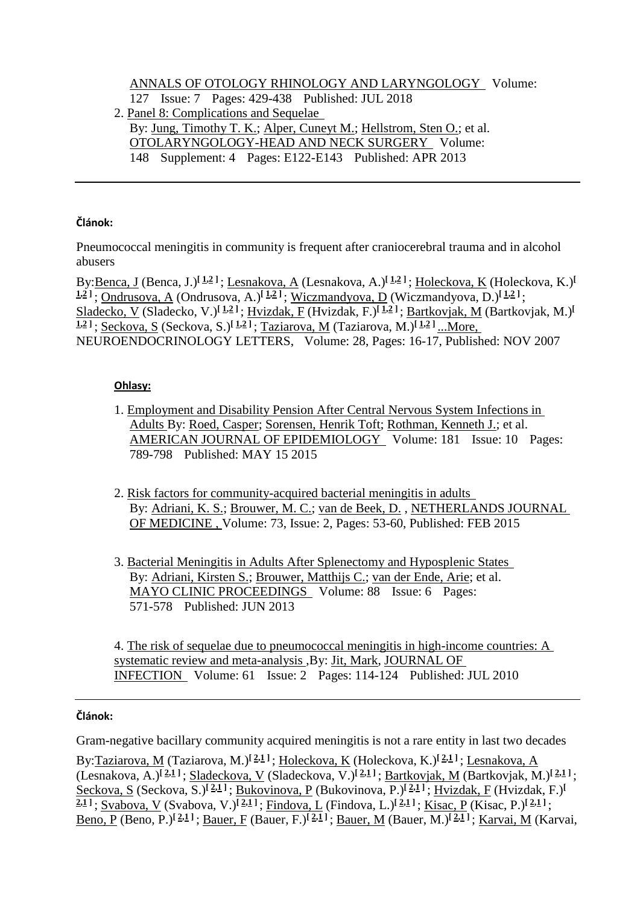# [ANNALS OF OTOLOGY RHINOLOGY AND LARYNGOLOGY](javascript:;) Volume:

127 Issue: 7 Pages: 429-438 Published: JUL 2018

2. [Panel 8: Complications and Sequelae](http://apps.webofknowledge.com.bukz2trh0c7e.han2.savba.sk/full_record.do?product=WOS&search_mode=CitingArticles&qid=24&SID=C6CK3Xj4WkKJydVAUFn&page=1&doc=2)  By: [Jung, Timothy T. K.;](http://apps.webofknowledge.com.bukz2trh0c7e.han2.savba.sk/DaisyOneClickSearch.do?product=WOS&search_mode=DaisyOneClickSearch&colName=WOS&SID=C6CK3Xj4WkKJydVAUFn&author_name=Jung,%20Timothy%20T.%20K.&dais_id=415822&excludeEventConfig=ExcludeIfFromFullRecPage) [Alper, Cuneyt M.;](http://apps.webofknowledge.com.bukz2trh0c7e.han2.savba.sk/DaisyOneClickSearch.do?product=WOS&search_mode=DaisyOneClickSearch&colName=WOS&SID=C6CK3Xj4WkKJydVAUFn&author_name=Alper,%20Cuneyt%20M.&dais_id=384438&excludeEventConfig=ExcludeIfFromFullRecPage) [Hellstrom, Sten O.;](http://apps.webofknowledge.com.bukz2trh0c7e.han2.savba.sk/DaisyOneClickSearch.do?product=WOS&search_mode=DaisyOneClickSearch&colName=WOS&SID=C6CK3Xj4WkKJydVAUFn&author_name=Hellstrom,%20Sten%20O.&dais_id=75928&excludeEventConfig=ExcludeIfFromFullRecPage) et al. [OTOLARYNGOLOGY-HEAD AND NECK SURGERY](javascript:;) Volume: 148 Supplement: 4 Pages: E122-E143 Published: APR 2013

#### **Článok:**

Pneumococcal meningitis in community is frequent after craniocerebral trauma and in alcohol abusers

By[:Benca, J](http://apps.webofknowledge.com.bukz2trh0c7e.han2.savba.sk/DaisyOneClickSearch.do?product=WOS&search_mode=DaisyOneClickSearch&colName=WOS&SID=C6CK3Xj4WkKJydVAUFn&author_name=Benca,%20J&dais_id=678065&excludeEventConfig=ExcludeIfFromFullRecPage) (Benca, J.)**[\[ 1](javascript:sup_focus()[,2](javascript:sup_focus() ]** ; [Lesnakova, A](http://apps.webofknowledge.com.bukz2trh0c7e.han2.savba.sk/DaisyOneClickSearch.do?product=WOS&search_mode=DaisyOneClickSearch&colName=WOS&SID=C6CK3Xj4WkKJydVAUFn&author_name=Lesnakova,%20A&dais_id=3601447&excludeEventConfig=ExcludeIfFromFullRecPage) (Lesnakova, A.)**[\[ 1](javascript:sup_focus()[,2](javascript:sup_focus() ]** ; [Holeckova, K](http://apps.webofknowledge.com.bukz2trh0c7e.han2.savba.sk/DaisyOneClickSearch.do?product=WOS&search_mode=DaisyOneClickSearch&colName=WOS&SID=C6CK3Xj4WkKJydVAUFn&author_name=Holeckova,%20K&dais_id=2290643&excludeEventConfig=ExcludeIfFromFullRecPage) (Holeckova, K.)**[ [1](javascript:sup_focus()[,2](javascript:sup_focus() ]** ; [Ondrusova, A](http://apps.webofknowledge.com.bukz2trh0c7e.han2.savba.sk/DaisyOneClickSearch.do?product=WOS&search_mode=DaisyOneClickSearch&colName=WOS&SID=C6CK3Xj4WkKJydVAUFn&author_name=Ondrusova,%20A&dais_id=1288561&excludeEventConfig=ExcludeIfFromFullRecPage) (Ondrusova, A.)**[\[ 1](javascript:sup_focus()[,2](javascript:sup_focus() ]** ; [Wiczmandyova, D](http://apps.webofknowledge.com.bukz2trh0c7e.han2.savba.sk/DaisyOneClickSearch.do?product=WOS&search_mode=DaisyOneClickSearch&colName=WOS&SID=C6CK3Xj4WkKJydVAUFn&author_name=Wiczmandyova,%20D&dais_id=5892443&excludeEventConfig=ExcludeIfFromFullRecPage) (Wiczmandyova, D.)**[ [1](javascript:sup_focus()[,2](javascript:sup_focus() ]** ; [Sladecko, V](http://apps.webofknowledge.com.bukz2trh0c7e.han2.savba.sk/DaisyOneClickSearch.do?product=WOS&search_mode=DaisyOneClickSearch&colName=WOS&SID=C6CK3Xj4WkKJydVAUFn&author_name=Sladecko,%20V&dais_id=9646281&excludeEventConfig=ExcludeIfFromFullRecPage) (Sladecko, V.)**[ [1](javascript:sup_focus()[,2](javascript:sup_focus() ]** ; [Hvizdak, F](http://apps.webofknowledge.com.bukz2trh0c7e.han2.savba.sk/DaisyOneClickSearch.do?product=WOS&search_mode=DaisyOneClickSearch&colName=WOS&SID=C6CK3Xj4WkKJydVAUFn&author_name=Hvizdak,%20F&dais_id=4913495&excludeEventConfig=ExcludeIfFromFullRecPage) (Hvizdak, F.)**[\[ 1](javascript:sup_focus()[,2](javascript:sup_focus() ]** ; [Bartkovjak, M](http://apps.webofknowledge.com.bukz2trh0c7e.han2.savba.sk/DaisyOneClickSearch.do?product=WOS&search_mode=DaisyOneClickSearch&colName=WOS&SID=C6CK3Xj4WkKJydVAUFn&author_name=Bartkovjak,%20M&dais_id=2541721&excludeEventConfig=ExcludeIfFromFullRecPage) (Bartkovjak, M.)**[ [1](javascript:sup_focus()[,2](javascript:sup_focus() ]** ; [Seckova, S](http://apps.webofknowledge.com.bukz2trh0c7e.han2.savba.sk/DaisyOneClickSearch.do?product=WOS&search_mode=DaisyOneClickSearch&colName=WOS&SID=C6CK3Xj4WkKJydVAUFn&author_name=Seckova,%20S&dais_id=2310512&excludeEventConfig=ExcludeIfFromFullRecPage) (Seckova, S.)**[\[ 1](javascript:sup_focus()[,2](javascript:sup_focus() ]** ; [Taziarova, M](http://apps.webofknowledge.com.bukz2trh0c7e.han2.savba.sk/DaisyOneClickSearch.do?product=WOS&search_mode=DaisyOneClickSearch&colName=WOS&SID=C6CK3Xj4WkKJydVAUFn&author_name=Taziarova,%20M&dais_id=2377075&excludeEventConfig=ExcludeIfFromFullRecPage) (Taziarova, M.)**[\[ 1](javascript:sup_focus()[,2](javascript:sup_focus() ]** [...More,](javascript:hide_show() NEUROENDOCRINOLOGY LETTERS, Volume: 28, Pages: 16-17, Published: NOV 2007

## **Ohlasy:**

- 1. [Employment and Disability Pension After Central Nervous System Infections in](http://apps.webofknowledge.com.bukz2trh0c7e.han2.savba.sk/full_record.do?product=WOS&search_mode=CitingArticles&qid=28&SID=C6CK3Xj4WkKJydVAUFn&page=1&doc=1)  [Adults B](http://apps.webofknowledge.com.bukz2trh0c7e.han2.savba.sk/full_record.do?product=WOS&search_mode=CitingArticles&qid=28&SID=C6CK3Xj4WkKJydVAUFn&page=1&doc=1)y: [Roed, Casper;](http://apps.webofknowledge.com.bukz2trh0c7e.han2.savba.sk/DaisyOneClickSearch.do?product=WOS&search_mode=DaisyOneClickSearch&colName=WOS&SID=C6CK3Xj4WkKJydVAUFn&author_name=Roed,%20Casper&dais_id=2448365&excludeEventConfig=ExcludeIfFromFullRecPage) [Sorensen, Henrik Toft;](http://apps.webofknowledge.com.bukz2trh0c7e.han2.savba.sk/DaisyOneClickSearch.do?product=WOS&search_mode=DaisyOneClickSearch&colName=WOS&SID=C6CK3Xj4WkKJydVAUFn&author_name=Sorensen,%20Henrik%20Toft&dais_id=386&excludeEventConfig=ExcludeIfFromFullRecPage) [Rothman, Kenneth J.;](http://apps.webofknowledge.com.bukz2trh0c7e.han2.savba.sk/DaisyOneClickSearch.do?product=WOS&search_mode=DaisyOneClickSearch&colName=WOS&SID=C6CK3Xj4WkKJydVAUFn&author_name=Rothman,%20Kenneth%20J.&dais_id=16390&excludeEventConfig=ExcludeIfFromFullRecPage) et al. [AMERICAN JOURNAL OF EPIDEMIOLOGY](javascript:;) Volume: 181 Issue: 10 Pages: 789-798 Published: MAY 15 2015
- 2. [Risk factors for community-acquired bacterial meningitis in adults](http://apps.webofknowledge.com.bukz2trh0c7e.han2.savba.sk/full_record.do?product=WOS&search_mode=CitingArticles&qid=28&SID=C6CK3Xj4WkKJydVAUFn&page=1&doc=2)  By: [Adriani, K. S.;](http://apps.webofknowledge.com.bukz2trh0c7e.han2.savba.sk/DaisyOneClickSearch.do?product=WOS&search_mode=DaisyOneClickSearch&colName=WOS&SID=C6CK3Xj4WkKJydVAUFn&author_name=Adriani,%20K.%20S.&dais_id=4257295&excludeEventConfig=ExcludeIfFromFullRecPage) [Brouwer, M. C.;](http://apps.webofknowledge.com.bukz2trh0c7e.han2.savba.sk/DaisyOneClickSearch.do?product=WOS&search_mode=DaisyOneClickSearch&colName=WOS&SID=C6CK3Xj4WkKJydVAUFn&author_name=Brouwer,%20M.%20C.&dais_id=53149&excludeEventConfig=ExcludeIfFromFullRecPage) [van de Beek, D.](http://apps.webofknowledge.com.bukz2trh0c7e.han2.savba.sk/DaisyOneClickSearch.do?product=WOS&search_mode=DaisyOneClickSearch&colName=WOS&SID=C6CK3Xj4WkKJydVAUFn&author_name=van%20de%20Beek,%20D.&dais_id=59440&excludeEventConfig=ExcludeIfFromFullRecPage) , [NETHERLANDS JOURNAL](javascript:;)  [OF MEDICINE ,](javascript:;) Volume: 73, Issue: 2, Pages: 53-60, Published: FEB 2015
- 3. [Bacterial Meningitis in Adults After Splenectomy and Hyposplenic States](http://apps.webofknowledge.com.bukz2trh0c7e.han2.savba.sk/full_record.do?product=WOS&search_mode=CitingArticles&qid=28&SID=C6CK3Xj4WkKJydVAUFn&page=1&doc=3)  By: [Adriani, Kirsten S.;](http://apps.webofknowledge.com.bukz2trh0c7e.han2.savba.sk/DaisyOneClickSearch.do?product=WOS&search_mode=DaisyOneClickSearch&colName=WOS&SID=C6CK3Xj4WkKJydVAUFn&author_name=Adriani,%20Kirsten%20S.&dais_id=4257295&excludeEventConfig=ExcludeIfFromFullRecPage) [Brouwer, Matthijs C.;](http://apps.webofknowledge.com.bukz2trh0c7e.han2.savba.sk/DaisyOneClickSearch.do?product=WOS&search_mode=DaisyOneClickSearch&colName=WOS&SID=C6CK3Xj4WkKJydVAUFn&author_name=Brouwer,%20Matthijs%20C.&dais_id=53149&excludeEventConfig=ExcludeIfFromFullRecPage) [van der Ende, Arie;](http://apps.webofknowledge.com.bukz2trh0c7e.han2.savba.sk/DaisyOneClickSearch.do?product=WOS&search_mode=DaisyOneClickSearch&colName=WOS&SID=C6CK3Xj4WkKJydVAUFn&author_name=van%20der%20Ende,%20Arie&dais_id=48124&excludeEventConfig=ExcludeIfFromFullRecPage) et al. [MAYO CLINIC PROCEEDINGS](javascript:;) Volume: 88 Issue: 6 Pages: 571-578 Published: JUN 2013

4. [The risk of sequelae due to pneumococcal meningitis in high-income countries: A](http://apps.webofknowledge.com.bukz2trh0c7e.han2.savba.sk/full_record.do?product=WOS&search_mode=CitingArticles&qid=28&SID=C6CK3Xj4WkKJydVAUFn&page=1&doc=4)  [systematic review and meta-analysis ,](http://apps.webofknowledge.com.bukz2trh0c7e.han2.savba.sk/full_record.do?product=WOS&search_mode=CitingArticles&qid=28&SID=C6CK3Xj4WkKJydVAUFn&page=1&doc=4)By: [Jit, Mark,](http://apps.webofknowledge.com.bukz2trh0c7e.han2.savba.sk/DaisyOneClickSearch.do?product=WOS&search_mode=DaisyOneClickSearch&colName=WOS&SID=C6CK3Xj4WkKJydVAUFn&author_name=Jit,%20Mark&dais_id=207334&excludeEventConfig=ExcludeIfFromFullRecPage) [JOURNAL OF](javascript:;)  [INFECTION](javascript:;) Volume: 61 Issue: 2 Pages: 114-124 Published: JUL 2010

## **Článok:**

Gram-negative bacillary community acquired meningitis is not a rare entity in last two decades By[:Taziarova, M](http://apps.webofknowledge.com.bukz2trh0c7e.han2.savba.sk/DaisyOneClickSearch.do?product=WOS&search_mode=DaisyOneClickSearch&colName=WOS&SID=C6CK3Xj4WkKJydVAUFn&author_name=Taziarova,%20M&dais_id=2377075&excludeEventConfig=ExcludeIfFromFullRecPage) (Taziarova, M.)**[\[ 2](javascript:sup_focus()[,1](javascript:sup_focus() ]** ; [Holeckova, K](http://apps.webofknowledge.com.bukz2trh0c7e.han2.savba.sk/DaisyOneClickSearch.do?product=WOS&search_mode=DaisyOneClickSearch&colName=WOS&SID=C6CK3Xj4WkKJydVAUFn&author_name=Holeckova,%20K&dais_id=2290643&excludeEventConfig=ExcludeIfFromFullRecPage) (Holeckova, K.)**[\[ 2](javascript:sup_focus()[,1](javascript:sup_focus() ]** ; [Lesnakova, A](http://apps.webofknowledge.com.bukz2trh0c7e.han2.savba.sk/DaisyOneClickSearch.do?product=WOS&search_mode=DaisyOneClickSearch&colName=WOS&SID=C6CK3Xj4WkKJydVAUFn&author_name=Lesnakova,%20A&dais_id=3601447&excludeEventConfig=ExcludeIfFromFullRecPage) (Lesnakova, A.)**[\[ 2](javascript:sup_focus()[,1](javascript:sup_focus() ]** ; [Sladeckova, V](http://apps.webofknowledge.com.bukz2trh0c7e.han2.savba.sk/DaisyOneClickSearch.do?product=WOS&search_mode=DaisyOneClickSearch&colName=WOS&SID=C6CK3Xj4WkKJydVAUFn&author_name=Sladeckova,%20V&dais_id=1696654&excludeEventConfig=ExcludeIfFromFullRecPage) (Sladeckova, V.)**[ [2,](javascript:sup_focus()[1](javascript:sup_focus() ]** ; [Bartkovjak, M](http://apps.webofknowledge.com.bukz2trh0c7e.han2.savba.sk/DaisyOneClickSearch.do?product=WOS&search_mode=DaisyOneClickSearch&colName=WOS&SID=C6CK3Xj4WkKJydVAUFn&author_name=Bartkovjak,%20M&dais_id=2541721&excludeEventConfig=ExcludeIfFromFullRecPage) (Bartkovjak, M.)**[\[ 2,](javascript:sup_focus()[1](javascript:sup_focus() ]** ; [Seckova, S](http://apps.webofknowledge.com.bukz2trh0c7e.han2.savba.sk/DaisyOneClickSearch.do?product=WOS&search_mode=DaisyOneClickSearch&colName=WOS&SID=C6CK3Xj4WkKJydVAUFn&author_name=Seckova,%20S&dais_id=2310512&excludeEventConfig=ExcludeIfFromFullRecPage) (Seckova, S.)**[\[ 2](javascript:sup_focus()[,1](javascript:sup_focus() ]** ; [Bukovinova, P](http://apps.webofknowledge.com.bukz2trh0c7e.han2.savba.sk/DaisyOneClickSearch.do?product=WOS&search_mode=DaisyOneClickSearch&colName=WOS&SID=C6CK3Xj4WkKJydVAUFn&author_name=Bukovinova,%20P&dais_id=2450706&excludeEventConfig=ExcludeIfFromFullRecPage) (Bukovinova, P.)**[\[ 2,](javascript:sup_focus()[1](javascript:sup_focus() ]** ; [Hvizdak, F](http://apps.webofknowledge.com.bukz2trh0c7e.han2.savba.sk/DaisyOneClickSearch.do?product=WOS&search_mode=DaisyOneClickSearch&colName=WOS&SID=C6CK3Xj4WkKJydVAUFn&author_name=Hvizdak,%20F&dais_id=4913495&excludeEventConfig=ExcludeIfFromFullRecPage) (Hvizdak, F.)**[ [2](javascript:sup_focus()[,1](javascript:sup_focus() ]** ; [Svabova, V](http://apps.webofknowledge.com.bukz2trh0c7e.han2.savba.sk/DaisyOneClickSearch.do?product=WOS&search_mode=DaisyOneClickSearch&colName=WOS&SID=C6CK3Xj4WkKJydVAUFn&author_name=Svabova,%20V&dais_id=2772802&excludeEventConfig=ExcludeIfFromFullRecPage) (Svabova, V.)**[\[ 2,](javascript:sup_focus()[1](javascript:sup_focus() ]** ; [Findova, L](http://apps.webofknowledge.com.bukz2trh0c7e.han2.savba.sk/DaisyOneClickSearch.do?product=WOS&search_mode=DaisyOneClickSearch&colName=WOS&SID=C6CK3Xj4WkKJydVAUFn&author_name=Findova,%20L&dais_id=3775145&excludeEventConfig=ExcludeIfFromFullRecPage) (Findova, L.)**[\[ 2,](javascript:sup_focus()[1](javascript:sup_focus() ]** ; [Kisac, P](http://apps.webofknowledge.com.bukz2trh0c7e.han2.savba.sk/DaisyOneClickSearch.do?product=WOS&search_mode=DaisyOneClickSearch&colName=WOS&SID=C6CK3Xj4WkKJydVAUFn&author_name=Kisac,%20P&dais_id=750796&excludeEventConfig=ExcludeIfFromFullRecPage) (Kisac, P.)**[\[ 2](javascript:sup_focus()[,1](javascript:sup_focus() ]** ; [Beno, P](http://apps.webofknowledge.com.bukz2trh0c7e.han2.savba.sk/DaisyOneClickSearch.do?product=WOS&search_mode=DaisyOneClickSearch&colName=WOS&SID=C6CK3Xj4WkKJydVAUFn&author_name=Beno,%20P&dais_id=2056388&excludeEventConfig=ExcludeIfFromFullRecPage) (Beno, P.)**[\[ 2,](javascript:sup_focus()[1](javascript:sup_focus() ]** ; [Bauer, F](http://apps.webofknowledge.com.bukz2trh0c7e.han2.savba.sk/DaisyOneClickSearch.do?product=WOS&search_mode=DaisyOneClickSearch&colName=WOS&SID=C6CK3Xj4WkKJydVAUFn&author_name=Bauer,%20F&dais_id=2161733&excludeEventConfig=ExcludeIfFromFullRecPage) (Bauer, F.)**[ [2](javascript:sup_focus()[,1](javascript:sup_focus() ]** ; [Bauer, M](http://apps.webofknowledge.com.bukz2trh0c7e.han2.savba.sk/DaisyOneClickSearch.do?product=WOS&search_mode=DaisyOneClickSearch&colName=WOS&SID=C6CK3Xj4WkKJydVAUFn&author_name=Bauer,%20M&dais_id=26075743&excludeEventConfig=ExcludeIfFromFullRecPage) (Bauer, M.)**[\[ 2](javascript:sup_focus()[,1](javascript:sup_focus() ]** ; [Karvai, M](http://apps.webofknowledge.com.bukz2trh0c7e.han2.savba.sk/DaisyOneClickSearch.do?product=WOS&search_mode=DaisyOneClickSearch&colName=WOS&SID=C6CK3Xj4WkKJydVAUFn&author_name=Karvai,%20M&dais_id=21201483&excludeEventConfig=ExcludeIfFromFullRecPage) (Karvai,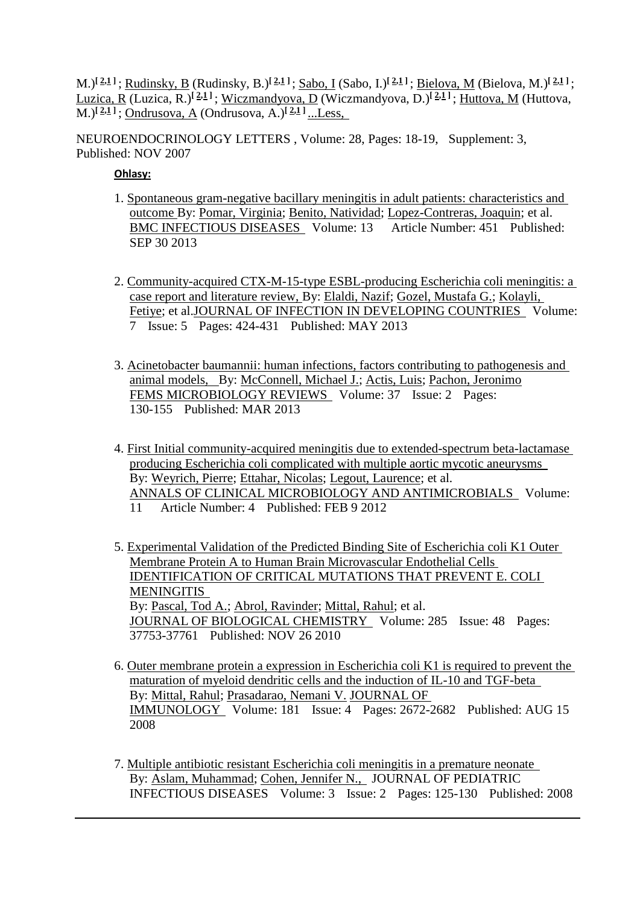M.)**[\[ 2](javascript:sup_focus()[,1](javascript:sup_focus() ]** ; [Rudinsky, B](http://apps.webofknowledge.com.bukz2trh0c7e.han2.savba.sk/DaisyOneClickSearch.do?product=WOS&search_mode=DaisyOneClickSearch&colName=WOS&SID=C6CK3Xj4WkKJydVAUFn&author_name=Rudinsky,%20B&dais_id=750182&excludeEventConfig=ExcludeIfFromFullRecPage) (Rudinsky, B.)**[ [2](javascript:sup_focus()[,1](javascript:sup_focus() ]** ; [Sabo, I](http://apps.webofknowledge.com.bukz2trh0c7e.han2.savba.sk/DaisyOneClickSearch.do?product=WOS&search_mode=DaisyOneClickSearch&colName=WOS&SID=C6CK3Xj4WkKJydVAUFn&author_name=Sabo,%20I&dais_id=1188293&excludeEventConfig=ExcludeIfFromFullRecPage) (Sabo, I.)**[\[ 2,](javascript:sup_focus()[1](javascript:sup_focus() ]** ; [Bielova, M](http://apps.webofknowledge.com.bukz2trh0c7e.han2.savba.sk/DaisyOneClickSearch.do?product=WOS&search_mode=DaisyOneClickSearch&colName=WOS&SID=C6CK3Xj4WkKJydVAUFn&author_name=Bielova,%20M&dais_id=4213614&excludeEventConfig=ExcludeIfFromFullRecPage) (Bielova, M.)**[\[ 2](javascript:sup_focus()[,1](javascript:sup_focus() ]** ; [Luzica, R](http://apps.webofknowledge.com.bukz2trh0c7e.han2.savba.sk/DaisyOneClickSearch.do?product=WOS&search_mode=DaisyOneClickSearch&colName=WOS&SID=C6CK3Xj4WkKJydVAUFn&author_name=Luzica,%20R&dais_id=4447034&excludeEventConfig=ExcludeIfFromFullRecPage) (Luzica, R.)**[ [2,](javascript:sup_focus()[1](javascript:sup_focus() ]** ; [Wiczmandyova, D](http://apps.webofknowledge.com.bukz2trh0c7e.han2.savba.sk/DaisyOneClickSearch.do?product=WOS&search_mode=DaisyOneClickSearch&colName=WOS&SID=C6CK3Xj4WkKJydVAUFn&author_name=Wiczmandyova,%20D&dais_id=5892443&excludeEventConfig=ExcludeIfFromFullRecPage) (Wiczmandyova, D.)**[\[ 2,](javascript:sup_focus()[1](javascript:sup_focus() ]** ; [Huttova, M](http://apps.webofknowledge.com.bukz2trh0c7e.han2.savba.sk/DaisyOneClickSearch.do?product=WOS&search_mode=DaisyOneClickSearch&colName=WOS&SID=C6CK3Xj4WkKJydVAUFn&author_name=Huttova,%20M&dais_id=1151229&excludeEventConfig=ExcludeIfFromFullRecPage) (Huttova, M.)**[\[ 2](javascript:sup_focus()[,1](javascript:sup_focus() ]** ; [Ondrusova, A](http://apps.webofknowledge.com.bukz2trh0c7e.han2.savba.sk/DaisyOneClickSearch.do?product=WOS&search_mode=DaisyOneClickSearch&colName=WOS&SID=C6CK3Xj4WkKJydVAUFn&author_name=Ondrusova,%20A&dais_id=1288561&excludeEventConfig=ExcludeIfFromFullRecPage) (Ondrusova, A.)**[\[ 2,](javascript:sup_focus()[1](javascript:sup_focus() ]** [...Less,](javascript:hide_show()

NEUROENDOCRINOLOGY LETTERS , Volume: 28, Pages: 18-19, Supplement: 3, Published: NOV 2007

#### **Ohlasy:**

- 1. [Spontaneous gram-negative bacillary meningitis in adult patients: characteristics and](http://apps.webofknowledge.com.bukz2trh0c7e.han2.savba.sk/full_record.do?product=WOS&search_mode=CitingArticles&qid=32&SID=C6CK3Xj4WkKJydVAUFn&page=1&doc=1)  [outcome B](http://apps.webofknowledge.com.bukz2trh0c7e.han2.savba.sk/full_record.do?product=WOS&search_mode=CitingArticles&qid=32&SID=C6CK3Xj4WkKJydVAUFn&page=1&doc=1)y: [Pomar, Virginia;](http://apps.webofknowledge.com.bukz2trh0c7e.han2.savba.sk/DaisyOneClickSearch.do?product=WOS&search_mode=DaisyOneClickSearch&colName=WOS&SID=C6CK3Xj4WkKJydVAUFn&author_name=Pomar,%20Virginia&dais_id=1751612&excludeEventConfig=ExcludeIfFromFullRecPage) [Benito, Natividad;](http://apps.webofknowledge.com.bukz2trh0c7e.han2.savba.sk/DaisyOneClickSearch.do?product=WOS&search_mode=DaisyOneClickSearch&colName=WOS&SID=C6CK3Xj4WkKJydVAUFn&author_name=Benito,%20Natividad&dais_id=471294&excludeEventConfig=ExcludeIfFromFullRecPage) [Lopez-Contreras, Joaquin;](http://apps.webofknowledge.com.bukz2trh0c7e.han2.savba.sk/DaisyOneClickSearch.do?product=WOS&search_mode=DaisyOneClickSearch&colName=WOS&SID=C6CK3Xj4WkKJydVAUFn&author_name=Lopez-Contreras,%20Joaquin&dais_id=3164814&excludeEventConfig=ExcludeIfFromFullRecPage) et al. [BMC INFECTIOUS DISEASES](javascript:;) Volume: 13 Article Number: 451 Published: SEP 30 2013
- 2. [Community-acquired CTX-M-15-type ESBL-producing Escherichia coli meningitis: a](http://apps.webofknowledge.com.bukz2trh0c7e.han2.savba.sk/full_record.do?product=WOS&search_mode=CitingArticles&qid=32&SID=C6CK3Xj4WkKJydVAUFn&page=1&doc=2)  [case report and literature review,](http://apps.webofknowledge.com.bukz2trh0c7e.han2.savba.sk/full_record.do?product=WOS&search_mode=CitingArticles&qid=32&SID=C6CK3Xj4WkKJydVAUFn&page=1&doc=2) By: [Elaldi, Nazif;](http://apps.webofknowledge.com.bukz2trh0c7e.han2.savba.sk/DaisyOneClickSearch.do?product=WOS&search_mode=DaisyOneClickSearch&colName=WOS&SID=C6CK3Xj4WkKJydVAUFn&author_name=Elaldi,%20Nazif&dais_id=558568&excludeEventConfig=ExcludeIfFromFullRecPage) [Gozel, Mustafa G.;](http://apps.webofknowledge.com.bukz2trh0c7e.han2.savba.sk/DaisyOneClickSearch.do?product=WOS&search_mode=DaisyOneClickSearch&colName=WOS&SID=C6CK3Xj4WkKJydVAUFn&author_name=Gozel,%20Mustafa%20G.&dais_id=1759128&excludeEventConfig=ExcludeIfFromFullRecPage) [Kolayli,](http://apps.webofknowledge.com.bukz2trh0c7e.han2.savba.sk/DaisyOneClickSearch.do?product=WOS&search_mode=DaisyOneClickSearch&colName=WOS&SID=C6CK3Xj4WkKJydVAUFn&author_name=Kolayli,%20Fetiye&dais_id=1977073&excludeEventConfig=ExcludeIfFromFullRecPage)  [Fetiye;](http://apps.webofknowledge.com.bukz2trh0c7e.han2.savba.sk/DaisyOneClickSearch.do?product=WOS&search_mode=DaisyOneClickSearch&colName=WOS&SID=C6CK3Xj4WkKJydVAUFn&author_name=Kolayli,%20Fetiye&dais_id=1977073&excludeEventConfig=ExcludeIfFromFullRecPage) et al[.JOURNAL OF INFECTION IN DEVELOPING COUNTRIES](javascript:;) Volume: 7 Issue: 5 Pages: 424-431 Published: MAY 2013
- 3. [Acinetobacter baumannii: human infections, factors contributing to pathogenesis and](http://apps.webofknowledge.com.bukz2trh0c7e.han2.savba.sk/full_record.do?product=WOS&search_mode=CitingArticles&qid=32&SID=C6CK3Xj4WkKJydVAUFn&page=1&doc=3)  [animal models, B](http://apps.webofknowledge.com.bukz2trh0c7e.han2.savba.sk/full_record.do?product=WOS&search_mode=CitingArticles&qid=32&SID=C6CK3Xj4WkKJydVAUFn&page=1&doc=3)y: [McConnell, Michael J.;](http://apps.webofknowledge.com.bukz2trh0c7e.han2.savba.sk/DaisyOneClickSearch.do?product=WOS&search_mode=DaisyOneClickSearch&colName=WOS&SID=C6CK3Xj4WkKJydVAUFn&author_name=McConnell,%20Michael%20J.&dais_id=415402&excludeEventConfig=ExcludeIfFromFullRecPage) [Actis, Luis;](http://apps.webofknowledge.com.bukz2trh0c7e.han2.savba.sk/DaisyOneClickSearch.do?product=WOS&search_mode=DaisyOneClickSearch&colName=WOS&SID=C6CK3Xj4WkKJydVAUFn&author_name=Actis,%20Luis&dais_id=395425&excludeEventConfig=ExcludeIfFromFullRecPage) [Pachon, Jeronimo](http://apps.webofknowledge.com.bukz2trh0c7e.han2.savba.sk/DaisyOneClickSearch.do?product=WOS&search_mode=DaisyOneClickSearch&colName=WOS&SID=C6CK3Xj4WkKJydVAUFn&author_name=Pachon,%20Jeronimo&dais_id=114854&excludeEventConfig=ExcludeIfFromFullRecPage) [FEMS MICROBIOLOGY REVIEWS](javascript:;) Volume: 37 Issue: 2 Pages: 130-155 Published: MAR 2013
- 4. [First Initial community-acquired meningitis due to extended-spectrum beta-lactamase](http://apps.webofknowledge.com.bukz2trh0c7e.han2.savba.sk/full_record.do?product=WOS&search_mode=CitingArticles&qid=32&SID=C6CK3Xj4WkKJydVAUFn&page=1&doc=4)  [producing Escherichia coli complicated with multiple aortic mycotic aneurysms](http://apps.webofknowledge.com.bukz2trh0c7e.han2.savba.sk/full_record.do?product=WOS&search_mode=CitingArticles&qid=32&SID=C6CK3Xj4WkKJydVAUFn&page=1&doc=4)  By: [Weyrich, Pierre;](http://apps.webofknowledge.com.bukz2trh0c7e.han2.savba.sk/DaisyOneClickSearch.do?product=WOS&search_mode=DaisyOneClickSearch&colName=WOS&SID=C6CK3Xj4WkKJydVAUFn&author_name=Weyrich,%20Pierre&dais_id=28970145&excludeEventConfig=ExcludeIfFromFullRecPage) [Ettahar, Nicolas;](http://apps.webofknowledge.com.bukz2trh0c7e.han2.savba.sk/DaisyOneClickSearch.do?product=WOS&search_mode=DaisyOneClickSearch&colName=WOS&SID=C6CK3Xj4WkKJydVAUFn&author_name=Ettahar,%20Nicolas&dais_id=4142045&excludeEventConfig=ExcludeIfFromFullRecPage) [Legout, Laurence;](http://apps.webofknowledge.com.bukz2trh0c7e.han2.savba.sk/DaisyOneClickSearch.do?product=WOS&search_mode=DaisyOneClickSearch&colName=WOS&SID=C6CK3Xj4WkKJydVAUFn&author_name=Legout,%20Laurence&dais_id=662094&excludeEventConfig=ExcludeIfFromFullRecPage) et al. [ANNALS OF CLINICAL MICROBIOLOGY AND ANTIMICROBIALS](javascript:;) Volume: 11 Article Number: 4 Published: FEB 9 2012
- 5. Experimental Validation of the [Predicted Binding Site of Escherichia coli K1 Outer](http://apps.webofknowledge.com.bukz2trh0c7e.han2.savba.sk/full_record.do?product=WOS&search_mode=CitingArticles&qid=32&SID=C6CK3Xj4WkKJydVAUFn&page=1&doc=5)  [Membrane Protein A to Human Brain Microvascular Endothelial Cells](http://apps.webofknowledge.com.bukz2trh0c7e.han2.savba.sk/full_record.do?product=WOS&search_mode=CitingArticles&qid=32&SID=C6CK3Xj4WkKJydVAUFn&page=1&doc=5)  [IDENTIFICATION OF CRITICAL MUTATIONS THAT PREVENT E. COLI](http://apps.webofknowledge.com.bukz2trh0c7e.han2.savba.sk/full_record.do?product=WOS&search_mode=CitingArticles&qid=32&SID=C6CK3Xj4WkKJydVAUFn&page=1&doc=5)  [MENINGITIS](http://apps.webofknowledge.com.bukz2trh0c7e.han2.savba.sk/full_record.do?product=WOS&search_mode=CitingArticles&qid=32&SID=C6CK3Xj4WkKJydVAUFn&page=1&doc=5)  By: [Pascal, Tod A.;](http://apps.webofknowledge.com.bukz2trh0c7e.han2.savba.sk/DaisyOneClickSearch.do?product=WOS&search_mode=DaisyOneClickSearch&colName=WOS&SID=C6CK3Xj4WkKJydVAUFn&author_name=Pascal,%20Tod%20A.&dais_id=308975&excludeEventConfig=ExcludeIfFromFullRecPage) [Abrol, Ravinder;](http://apps.webofknowledge.com.bukz2trh0c7e.han2.savba.sk/DaisyOneClickSearch.do?product=WOS&search_mode=DaisyOneClickSearch&colName=WOS&SID=C6CK3Xj4WkKJydVAUFn&author_name=Abrol,%20Ravinder&dais_id=447023&excludeEventConfig=ExcludeIfFromFullRecPage) [Mittal, Rahul;](http://apps.webofknowledge.com.bukz2trh0c7e.han2.savba.sk/DaisyOneClickSearch.do?product=WOS&search_mode=DaisyOneClickSearch&colName=WOS&SID=C6CK3Xj4WkKJydVAUFn&author_name=Mittal,%20Rahul&dais_id=559211&excludeEventConfig=ExcludeIfFromFullRecPage) et al. [JOURNAL OF BIOLOGICAL CHEMISTRY](javascript:;) Volume: 285 Issue: 48 Pages: 37753-37761 Published: NOV 26 2010
- 6. [Outer membrane protein a expression in Escherichia coli K1 is required to prevent the](http://apps.webofknowledge.com.bukz2trh0c7e.han2.savba.sk/full_record.do?product=WOS&search_mode=CitingArticles&qid=32&SID=C6CK3Xj4WkKJydVAUFn&page=1&doc=6)  [maturation of myeloid dendritic cells and the induction of IL-10 and TGF-beta](http://apps.webofknowledge.com.bukz2trh0c7e.han2.savba.sk/full_record.do?product=WOS&search_mode=CitingArticles&qid=32&SID=C6CK3Xj4WkKJydVAUFn&page=1&doc=6)  By: [Mittal, Rahul;](http://apps.webofknowledge.com.bukz2trh0c7e.han2.savba.sk/DaisyOneClickSearch.do?product=WOS&search_mode=DaisyOneClickSearch&colName=WOS&SID=C6CK3Xj4WkKJydVAUFn&author_name=Mittal,%20Rahul&dais_id=559211&excludeEventConfig=ExcludeIfFromFullRecPage) [Prasadarao, Nemani V.](http://apps.webofknowledge.com.bukz2trh0c7e.han2.savba.sk/DaisyOneClickSearch.do?product=WOS&search_mode=DaisyOneClickSearch&colName=WOS&SID=C6CK3Xj4WkKJydVAUFn&author_name=Prasadarao,%20Nemani%20V.&dais_id=451044&excludeEventConfig=ExcludeIfFromFullRecPage) [JOURNAL OF](javascript:;)  [IMMUNOLOGY](javascript:;) Volume: 181 Issue: 4 Pages: 2672-2682 Published: AUG 15 2008
- 7. [Multiple antibiotic resistant Escherichia coli meningitis in a premature neonate](http://apps.webofknowledge.com.bukz2trh0c7e.han2.savba.sk/full_record.do?product=WOS&search_mode=CitingArticles&qid=32&SID=C6CK3Xj4WkKJydVAUFn&page=1&doc=7)  By: [Aslam, Muhammad;](http://apps.webofknowledge.com.bukz2trh0c7e.han2.savba.sk/DaisyOneClickSearch.do?product=WOS&search_mode=DaisyOneClickSearch&colName=WOS&SID=C6CK3Xj4WkKJydVAUFn&author_name=Aslam,%20Muhammad&dais_id=530795&excludeEventConfig=ExcludeIfFromFullRecPage) [Cohen, Jennifer N.,](http://apps.webofknowledge.com.bukz2trh0c7e.han2.savba.sk/DaisyOneClickSearch.do?product=WOS&search_mode=DaisyOneClickSearch&colName=WOS&SID=C6CK3Xj4WkKJydVAUFn&author_name=Cohen,%20Jennifer%20N.&dais_id=6771011&excludeEventConfig=ExcludeIfFromFullRecPage) JOURNAL OF PEDIATRIC INFECTIOUS DISEASES Volume: 3 Issue: 2 Pages: 125-130 Published: 2008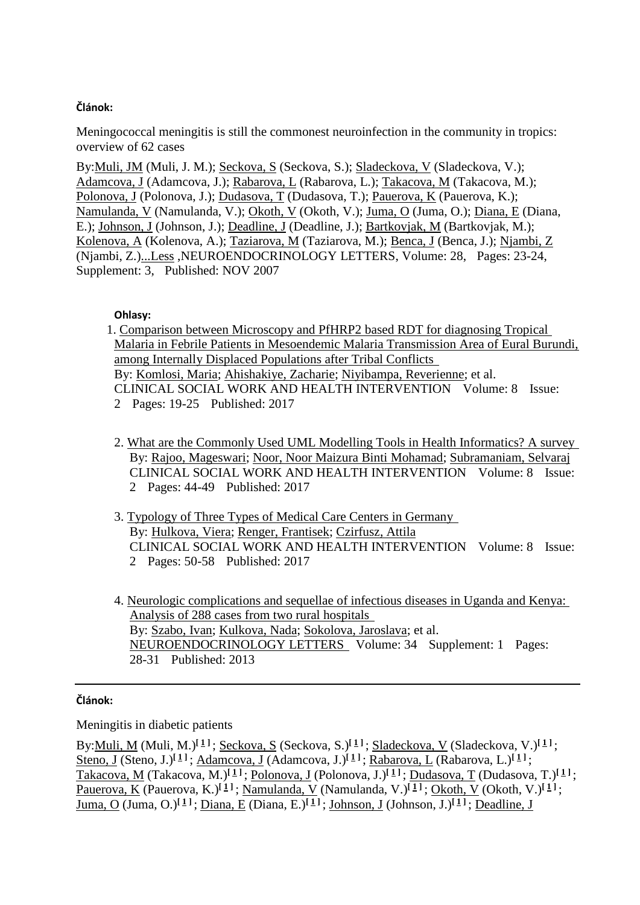## **Článok:**

Meningococcal meningitis is still the commonest neuroinfection in the community in tropics: overview of 62 cases

By: Muli, JM (Muli, J. M.); [Seckova, S](http://apps.webofknowledge.com.bukz2trh0c7e.han2.savba.sk/DaisyOneClickSearch.do?product=WOS&search_mode=DaisyOneClickSearch&colName=WOS&SID=C6CK3Xj4WkKJydVAUFn&author_name=Seckova,%20S&dais_id=2310512&excludeEventConfig=ExcludeIfFromFullRecPage) (Seckova, S.); [Sladeckova, V](http://apps.webofknowledge.com.bukz2trh0c7e.han2.savba.sk/DaisyOneClickSearch.do?product=WOS&search_mode=DaisyOneClickSearch&colName=WOS&SID=C6CK3Xj4WkKJydVAUFn&author_name=Sladeckova,%20V&dais_id=1696654&excludeEventConfig=ExcludeIfFromFullRecPage) (Sladeckova, V.); [Adamcova, J](http://apps.webofknowledge.com.bukz2trh0c7e.han2.savba.sk/DaisyOneClickSearch.do?product=WOS&search_mode=DaisyOneClickSearch&colName=WOS&SID=C6CK3Xj4WkKJydVAUFn&author_name=Adamcova,%20J&dais_id=1845602&excludeEventConfig=ExcludeIfFromFullRecPage) (Adamcova, J.); [Rabarova, L](http://apps.webofknowledge.com.bukz2trh0c7e.han2.savba.sk/DaisyOneClickSearch.do?product=WOS&search_mode=DaisyOneClickSearch&colName=WOS&SID=C6CK3Xj4WkKJydVAUFn&author_name=Rabarova,%20L&dais_id=8319147&excludeEventConfig=ExcludeIfFromFullRecPage) (Rabarova, L.); [Takacova, M](http://apps.webofknowledge.com.bukz2trh0c7e.han2.savba.sk/DaisyOneClickSearch.do?product=WOS&search_mode=DaisyOneClickSearch&colName=WOS&SID=C6CK3Xj4WkKJydVAUFn&author_name=Takacova,%20M&dais_id=3397231&excludeEventConfig=ExcludeIfFromFullRecPage) (Takacova, M.); [Polonova, J](http://apps.webofknowledge.com.bukz2trh0c7e.han2.savba.sk/DaisyOneClickSearch.do?product=WOS&search_mode=DaisyOneClickSearch&colName=WOS&SID=C6CK3Xj4WkKJydVAUFn&author_name=Polonova,%20J&dais_id=2999658&excludeEventConfig=ExcludeIfFromFullRecPage) (Polonova, J.); [Dudasova, T](http://apps.webofknowledge.com.bukz2trh0c7e.han2.savba.sk/DaisyOneClickSearch.do?product=WOS&search_mode=DaisyOneClickSearch&colName=WOS&SID=C6CK3Xj4WkKJydVAUFn&author_name=Dudasova,%20T&dais_id=10274228&excludeEventConfig=ExcludeIfFromFullRecPage) (Dudasova, T.); [Pauerova, K](http://apps.webofknowledge.com.bukz2trh0c7e.han2.savba.sk/DaisyOneClickSearch.do?product=WOS&search_mode=DaisyOneClickSearch&colName=WOS&SID=C6CK3Xj4WkKJydVAUFn&author_name=Pauerova,%20K&dais_id=9842671&excludeEventConfig=ExcludeIfFromFullRecPage) (Pauerova, K.); [Namulanda, V](http://apps.webofknowledge.com.bukz2trh0c7e.han2.savba.sk/DaisyOneClickSearch.do?product=WOS&search_mode=DaisyOneClickSearch&colName=WOS&SID=C6CK3Xj4WkKJydVAUFn&author_name=Namulanda,%20V&dais_id=8537615&excludeEventConfig=ExcludeIfFromFullRecPage) (Namulanda, V.); [Okoth, V](http://apps.webofknowledge.com.bukz2trh0c7e.han2.savba.sk/DaisyOneClickSearch.do?product=WOS&search_mode=DaisyOneClickSearch&colName=WOS&SID=C6CK3Xj4WkKJydVAUFn&author_name=Okoth,%20V&dais_id=8017228&excludeEventConfig=ExcludeIfFromFullRecPage) (Okoth, V.); [Juma, O](http://apps.webofknowledge.com.bukz2trh0c7e.han2.savba.sk/DaisyOneClickSearch.do?product=WOS&search_mode=DaisyOneClickSearch&colName=WOS&SID=C6CK3Xj4WkKJydVAUFn&author_name=Juma,%20O&dais_id=13458537&excludeEventConfig=ExcludeIfFromFullRecPage) (Juma, O.); [Diana, E](http://apps.webofknowledge.com.bukz2trh0c7e.han2.savba.sk/DaisyOneClickSearch.do?product=WOS&search_mode=DaisyOneClickSearch&colName=WOS&SID=C6CK3Xj4WkKJydVAUFn&author_name=Diana,%20E&dais_id=4984439&excludeEventConfig=ExcludeIfFromFullRecPage) (Diana, E.); [Johnson, J](http://apps.webofknowledge.com.bukz2trh0c7e.han2.savba.sk/DaisyOneClickSearch.do?product=WOS&search_mode=DaisyOneClickSearch&colName=WOS&SID=C6CK3Xj4WkKJydVAUFn&author_name=Johnson,%20J&dais_id=22613831&excludeEventConfig=ExcludeIfFromFullRecPage) (Johnson, J.); [Deadline, J](http://apps.webofknowledge.com.bukz2trh0c7e.han2.savba.sk/DaisyOneClickSearch.do?product=WOS&search_mode=DaisyOneClickSearch&colName=WOS&SID=C6CK3Xj4WkKJydVAUFn&author_name=Deadline,%20J&dais_id=6595317&excludeEventConfig=ExcludeIfFromFullRecPage) (Deadline, J.); [Bartkovjak, M](http://apps.webofknowledge.com.bukz2trh0c7e.han2.savba.sk/DaisyOneClickSearch.do?product=WOS&search_mode=DaisyOneClickSearch&colName=WOS&SID=C6CK3Xj4WkKJydVAUFn&author_name=Bartkovjak,%20M&dais_id=2541721&excludeEventConfig=ExcludeIfFromFullRecPage) (Bartkovjak, M.); [Kolenova, A](http://apps.webofknowledge.com.bukz2trh0c7e.han2.savba.sk/DaisyOneClickSearch.do?product=WOS&search_mode=DaisyOneClickSearch&colName=WOS&SID=C6CK3Xj4WkKJydVAUFn&author_name=Kolenova,%20A&dais_id=809720&excludeEventConfig=ExcludeIfFromFullRecPage) (Kolenova, A.); [Taziarova, M](http://apps.webofknowledge.com.bukz2trh0c7e.han2.savba.sk/DaisyOneClickSearch.do?product=WOS&search_mode=DaisyOneClickSearch&colName=WOS&SID=C6CK3Xj4WkKJydVAUFn&author_name=Taziarova,%20M&dais_id=2377075&excludeEventConfig=ExcludeIfFromFullRecPage) (Taziarova, M.); [Benca, J](http://apps.webofknowledge.com.bukz2trh0c7e.han2.savba.sk/DaisyOneClickSearch.do?product=WOS&search_mode=DaisyOneClickSearch&colName=WOS&SID=C6CK3Xj4WkKJydVAUFn&author_name=Benca,%20J&dais_id=678065&excludeEventConfig=ExcludeIfFromFullRecPage) (Benca, J.); [Njambi, Z](http://apps.webofknowledge.com.bukz2trh0c7e.han2.savba.sk/DaisyOneClickSearch.do?product=WOS&search_mode=DaisyOneClickSearch&colName=WOS&SID=C6CK3Xj4WkKJydVAUFn&author_name=Njambi,%20Z&dais_id=7561405&excludeEventConfig=ExcludeIfFromFullRecPage) (Njambi, Z.[\)...Less](javascript:hide_show() ,NEUROENDOCRINOLOGY LETTERS, Volume: 28, Pages: 23-24, Supplement: 3, Published: NOV 2007

#### **Ohlasy:**

| 1. Comparison between Microscopy and PfHRP2 based RDT for diagnosing Tropical          |  |  |
|----------------------------------------------------------------------------------------|--|--|
| Malaria in Febrile Patients in Mesoendemic Malaria Transmission Area of Eural Burundi, |  |  |
| among Internally Displaced Populations after Tribal Conflicts                          |  |  |
| By: Komlosi, Maria; Ahishakiye, Zacharie; Niyibampa, Reverienne; et al.                |  |  |
| CLINICAL SOCIAL WORK AND HEALTH INTERVENTION Volume: 8 Issue:                          |  |  |
| 2 Pages: 19-25 Published: 2017                                                         |  |  |

- 2. [What are the Commonly Used UML Modelling Tools in Health Informatics? A survey](http://apps.webofknowledge.com.bukz2trh0c7e.han2.savba.sk/full_record.do?product=WOS&search_mode=CitingArticles&qid=36&SID=C6CK3Xj4WkKJydVAUFn&page=1&doc=2)  By: [Rajoo, Mageswari;](http://apps.webofknowledge.com.bukz2trh0c7e.han2.savba.sk/DaisyOneClickSearch.do?product=WOS&search_mode=DaisyOneClickSearch&colName=WOS&SID=C6CK3Xj4WkKJydVAUFn&author_name=Rajoo,%20Mageswari&dais_id=10821345&excludeEventConfig=ExcludeIfFromFullRecPage) [Noor, Noor Maizura Binti Mohamad;](http://apps.webofknowledge.com.bukz2trh0c7e.han2.savba.sk/DaisyOneClickSearch.do?product=WOS&search_mode=DaisyOneClickSearch&colName=WOS&SID=C6CK3Xj4WkKJydVAUFn&author_name=Noor,%20Noor%20Maizura%20Binti%20Mohamad&dais_id=1744960&excludeEventConfig=ExcludeIfFromFullRecPage) [Subramaniam, Selvaraj](http://apps.webofknowledge.com.bukz2trh0c7e.han2.savba.sk/DaisyOneClickSearch.do?product=WOS&search_mode=DaisyOneClickSearch&colName=WOS&SID=C6CK3Xj4WkKJydVAUFn&author_name=Subramaniam,%20Selvaraj&dais_id=10144232&excludeEventConfig=ExcludeIfFromFullRecPage) CLINICAL SOCIAL WORK AND HEALTH INTERVENTION Volume: 8 Issue: 2 Pages: 44-49 Published: 2017
- 3. [Typology of Three Types of Medical Care Centers in Germany](http://apps.webofknowledge.com.bukz2trh0c7e.han2.savba.sk/full_record.do?product=WOS&search_mode=CitingArticles&qid=36&SID=C6CK3Xj4WkKJydVAUFn&page=1&doc=3)  By: [Hulkova, Viera;](http://apps.webofknowledge.com.bukz2trh0c7e.han2.savba.sk/DaisyOneClickSearch.do?product=WOS&search_mode=DaisyOneClickSearch&colName=WOS&SID=C6CK3Xj4WkKJydVAUFn&author_name=Hulkova,%20Viera&dais_id=6507051&excludeEventConfig=ExcludeIfFromFullRecPage) [Renger, Frantisek;](http://apps.webofknowledge.com.bukz2trh0c7e.han2.savba.sk/DaisyOneClickSearch.do?product=WOS&search_mode=DaisyOneClickSearch&colName=WOS&SID=C6CK3Xj4WkKJydVAUFn&author_name=Renger,%20Frantisek&dais_id=5882348&excludeEventConfig=ExcludeIfFromFullRecPage) [Czirfusz, Attila](http://apps.webofknowledge.com.bukz2trh0c7e.han2.savba.sk/DaisyOneClickSearch.do?product=WOS&search_mode=DaisyOneClickSearch&colName=WOS&SID=C6CK3Xj4WkKJydVAUFn&author_name=Czirfusz,%20Attila&dais_id=5618532&excludeEventConfig=ExcludeIfFromFullRecPage) CLINICAL SOCIAL WORK AND HEALTH INTERVENTION Volume: 8 Issue: 2 Pages: 50-58 Published: 2017
- 4. [Neurologic complications and sequellae of infectious diseases in Uganda and Kenya:](http://apps.webofknowledge.com.bukz2trh0c7e.han2.savba.sk/full_record.do?product=WOS&search_mode=CitingArticles&qid=36&SID=C6CK3Xj4WkKJydVAUFn&page=1&doc=4)  [Analysis of 288 cases from two rural hospitals](http://apps.webofknowledge.com.bukz2trh0c7e.han2.savba.sk/full_record.do?product=WOS&search_mode=CitingArticles&qid=36&SID=C6CK3Xj4WkKJydVAUFn&page=1&doc=4)  By: [Szabo, Ivan;](http://apps.webofknowledge.com.bukz2trh0c7e.han2.savba.sk/DaisyOneClickSearch.do?product=WOS&search_mode=DaisyOneClickSearch&colName=WOS&SID=C6CK3Xj4WkKJydVAUFn&author_name=Szabo,%20Ivan&dais_id=8383683&excludeEventConfig=ExcludeIfFromFullRecPage) [Kulkova, Nada;](http://apps.webofknowledge.com.bukz2trh0c7e.han2.savba.sk/DaisyOneClickSearch.do?product=WOS&search_mode=DaisyOneClickSearch&colName=WOS&SID=C6CK3Xj4WkKJydVAUFn&author_name=Kulkova,%20Nada&dais_id=2302307&excludeEventConfig=ExcludeIfFromFullRecPage) [Sokolova, Jaroslava;](http://apps.webofknowledge.com.bukz2trh0c7e.han2.savba.sk/DaisyOneClickSearch.do?product=WOS&search_mode=DaisyOneClickSearch&colName=WOS&SID=C6CK3Xj4WkKJydVAUFn&author_name=Sokolova,%20Jaroslava&dais_id=2705300&excludeEventConfig=ExcludeIfFromFullRecPage) et al. [NEUROENDOCRINOLOGY LETTERS](javascript:;) Volume: 34 Supplement: 1 Pages: 28-31 Published: 2013

## **Článok:**

Meningitis in diabetic patients

By[:Muli, M](http://apps.webofknowledge.com.bukz2trh0c7e.han2.savba.sk/DaisyOneClickSearch.do?product=WOS&search_mode=DaisyOneClickSearch&colName=WOS&SID=C6CK3Xj4WkKJydVAUFn&author_name=Muli,%20M&dais_id=6958049&excludeEventConfig=ExcludeIfFromFullRecPage) (Muli, M.)**[ [1](javascript:sup_focus() ]** ; [Seckova, S](http://apps.webofknowledge.com.bukz2trh0c7e.han2.savba.sk/DaisyOneClickSearch.do?product=WOS&search_mode=DaisyOneClickSearch&colName=WOS&SID=C6CK3Xj4WkKJydVAUFn&author_name=Seckova,%20S&dais_id=2310512&excludeEventConfig=ExcludeIfFromFullRecPage) (Seckova, S.)**[\[ 1](javascript:sup_focus() ]** ; [Sladeckova, V](http://apps.webofknowledge.com.bukz2trh0c7e.han2.savba.sk/DaisyOneClickSearch.do?product=WOS&search_mode=DaisyOneClickSearch&colName=WOS&SID=C6CK3Xj4WkKJydVAUFn&author_name=Sladeckova,%20V&dais_id=1696654&excludeEventConfig=ExcludeIfFromFullRecPage) (Sladeckova, V.)**[ [1](javascript:sup_focus() ]** ; [Steno, J](http://apps.webofknowledge.com.bukz2trh0c7e.han2.savba.sk/DaisyOneClickSearch.do?product=WOS&search_mode=DaisyOneClickSearch&colName=WOS&SID=C6CK3Xj4WkKJydVAUFn&author_name=Steno,%20J&dais_id=742233&excludeEventConfig=ExcludeIfFromFullRecPage) (Steno, J.)**[\[ 1](javascript:sup_focus() ]** ; [Adamcova, J](http://apps.webofknowledge.com.bukz2trh0c7e.han2.savba.sk/DaisyOneClickSearch.do?product=WOS&search_mode=DaisyOneClickSearch&colName=WOS&SID=C6CK3Xj4WkKJydVAUFn&author_name=Adamcova,%20J&dais_id=1845602&excludeEventConfig=ExcludeIfFromFullRecPage) (Adamcova, J.)**[\[ 1](javascript:sup_focus() ]** ; [Rabarova, L](http://apps.webofknowledge.com.bukz2trh0c7e.han2.savba.sk/DaisyOneClickSearch.do?product=WOS&search_mode=DaisyOneClickSearch&colName=WOS&SID=C6CK3Xj4WkKJydVAUFn&author_name=Rabarova,%20L&dais_id=8319147&excludeEventConfig=ExcludeIfFromFullRecPage) (Rabarova, L.)**[ [1](javascript:sup_focus() ]** ; [Takacova, M](http://apps.webofknowledge.com.bukz2trh0c7e.han2.savba.sk/DaisyOneClickSearch.do?product=WOS&search_mode=DaisyOneClickSearch&colName=WOS&SID=C6CK3Xj4WkKJydVAUFn&author_name=Takacova,%20M&dais_id=3397231&excludeEventConfig=ExcludeIfFromFullRecPage) (Takacova, M.)**[\[ 1](javascript:sup_focus() ]** ; [Polonova, J](http://apps.webofknowledge.com.bukz2trh0c7e.han2.savba.sk/DaisyOneClickSearch.do?product=WOS&search_mode=DaisyOneClickSearch&colName=WOS&SID=C6CK3Xj4WkKJydVAUFn&author_name=Polonova,%20J&dais_id=2999658&excludeEventConfig=ExcludeIfFromFullRecPage) (Polonova, J.)**[\[ 1](javascript:sup_focus() ]** ; [Dudasova, T](http://apps.webofknowledge.com.bukz2trh0c7e.han2.savba.sk/DaisyOneClickSearch.do?product=WOS&search_mode=DaisyOneClickSearch&colName=WOS&SID=C6CK3Xj4WkKJydVAUFn&author_name=Dudasova,%20T&dais_id=10274228&excludeEventConfig=ExcludeIfFromFullRecPage) (Dudasova, T.)**[\[ 1](javascript:sup_focus() ]** ; [Pauerova, K](http://apps.webofknowledge.com.bukz2trh0c7e.han2.savba.sk/DaisyOneClickSearch.do?product=WOS&search_mode=DaisyOneClickSearch&colName=WOS&SID=C6CK3Xj4WkKJydVAUFn&author_name=Pauerova,%20K&dais_id=9842671&excludeEventConfig=ExcludeIfFromFullRecPage) (Pauerova, K.)**[\[ 1](javascript:sup_focus() ]** ; [Namulanda, V](http://apps.webofknowledge.com.bukz2trh0c7e.han2.savba.sk/DaisyOneClickSearch.do?product=WOS&search_mode=DaisyOneClickSearch&colName=WOS&SID=C6CK3Xj4WkKJydVAUFn&author_name=Namulanda,%20V&dais_id=8537615&excludeEventConfig=ExcludeIfFromFullRecPage) (Namulanda, V.)**[ [1](javascript:sup_focus() ]** ; [Okoth, V](http://apps.webofknowledge.com.bukz2trh0c7e.han2.savba.sk/DaisyOneClickSearch.do?product=WOS&search_mode=DaisyOneClickSearch&colName=WOS&SID=C6CK3Xj4WkKJydVAUFn&author_name=Okoth,%20V&dais_id=8017228&excludeEventConfig=ExcludeIfFromFullRecPage) (Okoth, V.)**[ [1](javascript:sup_focus() ]** ; [Juma, O](http://apps.webofknowledge.com.bukz2trh0c7e.han2.savba.sk/DaisyOneClickSearch.do?product=WOS&search_mode=DaisyOneClickSearch&colName=WOS&SID=C6CK3Xj4WkKJydVAUFn&author_name=Juma,%20O&dais_id=13458537&excludeEventConfig=ExcludeIfFromFullRecPage) (Juma, O.)**[\[ 1](javascript:sup_focus() ]** ; [Diana, E](http://apps.webofknowledge.com.bukz2trh0c7e.han2.savba.sk/DaisyOneClickSearch.do?product=WOS&search_mode=DaisyOneClickSearch&colName=WOS&SID=C6CK3Xj4WkKJydVAUFn&author_name=Diana,%20E&dais_id=4984439&excludeEventConfig=ExcludeIfFromFullRecPage) (Diana, E.)**[\[ 1](javascript:sup_focus() ]** ; [Johnson, J](http://apps.webofknowledge.com.bukz2trh0c7e.han2.savba.sk/DaisyOneClickSearch.do?product=WOS&search_mode=DaisyOneClickSearch&colName=WOS&SID=C6CK3Xj4WkKJydVAUFn&author_name=Johnson,%20J&dais_id=22065310&excludeEventConfig=ExcludeIfFromFullRecPage) (Johnson, J.)**[\[ 1](javascript:sup_focus() ]** ; [Deadline, J](http://apps.webofknowledge.com.bukz2trh0c7e.han2.savba.sk/DaisyOneClickSearch.do?product=WOS&search_mode=DaisyOneClickSearch&colName=WOS&SID=C6CK3Xj4WkKJydVAUFn&author_name=Deadline,%20J&dais_id=6595317&excludeEventConfig=ExcludeIfFromFullRecPage)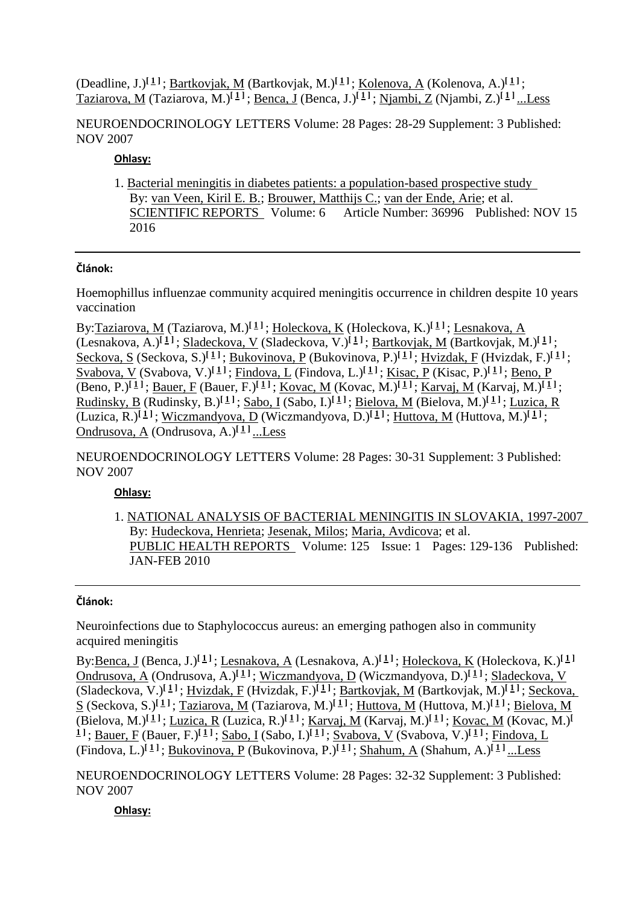(Deadline, J.)**[\[ 1](javascript:sup_focus() ]** ; [Bartkovjak, M](http://apps.webofknowledge.com.bukz2trh0c7e.han2.savba.sk/DaisyOneClickSearch.do?product=WOS&search_mode=DaisyOneClickSearch&colName=WOS&SID=C6CK3Xj4WkKJydVAUFn&author_name=Bartkovjak,%20M&dais_id=2541721&excludeEventConfig=ExcludeIfFromFullRecPage) (Bartkovjak, M.)**[\[ 1](javascript:sup_focus() ]** ; [Kolenova, A](http://apps.webofknowledge.com.bukz2trh0c7e.han2.savba.sk/DaisyOneClickSearch.do?product=WOS&search_mode=DaisyOneClickSearch&colName=WOS&SID=C6CK3Xj4WkKJydVAUFn&author_name=Kolenova,%20A&dais_id=809720&excludeEventConfig=ExcludeIfFromFullRecPage) (Kolenova, A.)**[\[ 1](javascript:sup_focus() ]** ; [Taziarova, M](http://apps.webofknowledge.com.bukz2trh0c7e.han2.savba.sk/DaisyOneClickSearch.do?product=WOS&search_mode=DaisyOneClickSearch&colName=WOS&SID=C6CK3Xj4WkKJydVAUFn&author_name=Taziarova,%20M&dais_id=2377075&excludeEventConfig=ExcludeIfFromFullRecPage) (Taziarova, M.)**[ [1](javascript:sup_focus() ]** ; [Benca, J](http://apps.webofknowledge.com.bukz2trh0c7e.han2.savba.sk/DaisyOneClickSearch.do?product=WOS&search_mode=DaisyOneClickSearch&colName=WOS&SID=C6CK3Xj4WkKJydVAUFn&author_name=Benca,%20J&dais_id=678065&excludeEventConfig=ExcludeIfFromFullRecPage) (Benca, J.)**[\[ 1](javascript:sup_focus() ]** ; [Njambi, Z](http://apps.webofknowledge.com.bukz2trh0c7e.han2.savba.sk/DaisyOneClickSearch.do?product=WOS&search_mode=DaisyOneClickSearch&colName=WOS&SID=C6CK3Xj4WkKJydVAUFn&author_name=Njambi,%20Z&dais_id=7561405&excludeEventConfig=ExcludeIfFromFullRecPage) (Njambi, Z.)**[\[ 1](javascript:sup_focus() ]** [...Less](javascript:hide_show()

## NEUROENDOCRINOLOGY LETTERS Volume: 28 Pages: 28-29 Supplement: 3 Published: NOV 2007

# **Ohlasy:**

1. [Bacterial meningitis in diabetes patients: a population-based prospective study](http://apps.webofknowledge.com.bukz2trh0c7e.han2.savba.sk/full_record.do?product=WOS&search_mode=CitingArticles&qid=40&SID=C6CK3Xj4WkKJydVAUFn&page=1&doc=1)  By: [van Veen, Kiril E. B.;](http://apps.webofknowledge.com.bukz2trh0c7e.han2.savba.sk/DaisyOneClickSearch.do?product=WOS&search_mode=DaisyOneClickSearch&colName=WOS&SID=C6CK3Xj4WkKJydVAUFn&author_name=van%20Veen,%20Kiril%20E.%20B.&dais_id=4045879&excludeEventConfig=ExcludeIfFromFullRecPage) [Brouwer, Matthijs C.;](http://apps.webofknowledge.com.bukz2trh0c7e.han2.savba.sk/DaisyOneClickSearch.do?product=WOS&search_mode=DaisyOneClickSearch&colName=WOS&SID=C6CK3Xj4WkKJydVAUFn&author_name=Brouwer,%20Matthijs%20C.&dais_id=53149&excludeEventConfig=ExcludeIfFromFullRecPage) [van der Ende, Arie;](http://apps.webofknowledge.com.bukz2trh0c7e.han2.savba.sk/DaisyOneClickSearch.do?product=WOS&search_mode=DaisyOneClickSearch&colName=WOS&SID=C6CK3Xj4WkKJydVAUFn&author_name=van%20der%20Ende,%20Arie&dais_id=48124&excludeEventConfig=ExcludeIfFromFullRecPage) et al. [SCIENTIFIC REPORTS](javascript:;) Volume: 6 Article Number: 36996 Published: NOV 15 2016

# **Článok:**

Hoemophillus influenzae community acquired meningitis occurrence in children despite 10 years vaccination

By[:Taziarova, M](http://apps.webofknowledge.com.bukz2trh0c7e.han2.savba.sk/DaisyOneClickSearch.do?product=WOS&search_mode=DaisyOneClickSearch&colName=WOS&SID=C6CK3Xj4WkKJydVAUFn&author_name=Taziarova,%20M&dais_id=2377075&excludeEventConfig=ExcludeIfFromFullRecPage) (Taziarova, M.)**[\[ 1](javascript:sup_focus() ]** ; [Holeckova, K](http://apps.webofknowledge.com.bukz2trh0c7e.han2.savba.sk/DaisyOneClickSearch.do?product=WOS&search_mode=DaisyOneClickSearch&colName=WOS&SID=C6CK3Xj4WkKJydVAUFn&author_name=Holeckova,%20K&dais_id=2290643&excludeEventConfig=ExcludeIfFromFullRecPage) (Holeckova, K.)**[\[ 1](javascript:sup_focus() ]** ; [Lesnakova, A](http://apps.webofknowledge.com.bukz2trh0c7e.han2.savba.sk/DaisyOneClickSearch.do?product=WOS&search_mode=DaisyOneClickSearch&colName=WOS&SID=C6CK3Xj4WkKJydVAUFn&author_name=Lesnakova,%20A&dais_id=3601447&excludeEventConfig=ExcludeIfFromFullRecPage) (Lesnakova, A.)**[\[ 1](javascript:sup_focus() ]** ; [Sladeckova, V](http://apps.webofknowledge.com.bukz2trh0c7e.han2.savba.sk/DaisyOneClickSearch.do?product=WOS&search_mode=DaisyOneClickSearch&colName=WOS&SID=C6CK3Xj4WkKJydVAUFn&author_name=Sladeckova,%20V&dais_id=1696654&excludeEventConfig=ExcludeIfFromFullRecPage) (Sladeckova, V.)**[ [1](javascript:sup_focus() ]** ; [Bartkovjak, M](http://apps.webofknowledge.com.bukz2trh0c7e.han2.savba.sk/DaisyOneClickSearch.do?product=WOS&search_mode=DaisyOneClickSearch&colName=WOS&SID=C6CK3Xj4WkKJydVAUFn&author_name=Bartkovjak,%20M&dais_id=2541721&excludeEventConfig=ExcludeIfFromFullRecPage) (Bartkovjak, M.)**[\[ 1](javascript:sup_focus() ]** ; [Seckova, S](http://apps.webofknowledge.com.bukz2trh0c7e.han2.savba.sk/DaisyOneClickSearch.do?product=WOS&search_mode=DaisyOneClickSearch&colName=WOS&SID=C6CK3Xj4WkKJydVAUFn&author_name=Seckova,%20S&dais_id=2310512&excludeEventConfig=ExcludeIfFromFullRecPage) (Seckova, S.)**[\[ 1](javascript:sup_focus() ]** ; [Bukovinova, P](http://apps.webofknowledge.com.bukz2trh0c7e.han2.savba.sk/DaisyOneClickSearch.do?product=WOS&search_mode=DaisyOneClickSearch&colName=WOS&SID=C6CK3Xj4WkKJydVAUFn&author_name=Bukovinova,%20P&dais_id=2450706&excludeEventConfig=ExcludeIfFromFullRecPage) (Bukovinova, P.)**[\[ 1](javascript:sup_focus() ]** ; [Hvizdak, F](http://apps.webofknowledge.com.bukz2trh0c7e.han2.savba.sk/DaisyOneClickSearch.do?product=WOS&search_mode=DaisyOneClickSearch&colName=WOS&SID=C6CK3Xj4WkKJydVAUFn&author_name=Hvizdak,%20F&dais_id=4913495&excludeEventConfig=ExcludeIfFromFullRecPage) (Hvizdak, F.)**[ [1](javascript:sup_focus() ]** ; [Svabova, V](http://apps.webofknowledge.com.bukz2trh0c7e.han2.savba.sk/DaisyOneClickSearch.do?product=WOS&search_mode=DaisyOneClickSearch&colName=WOS&SID=C6CK3Xj4WkKJydVAUFn&author_name=Svabova,%20V&dais_id=2772802&excludeEventConfig=ExcludeIfFromFullRecPage) (Svabova, V.)**[\[ 1](javascript:sup_focus() ]** ; [Findova, L](http://apps.webofknowledge.com.bukz2trh0c7e.han2.savba.sk/DaisyOneClickSearch.do?product=WOS&search_mode=DaisyOneClickSearch&colName=WOS&SID=C6CK3Xj4WkKJydVAUFn&author_name=Findova,%20L&dais_id=3775145&excludeEventConfig=ExcludeIfFromFullRecPage) (Findova, L.)**[\[ 1](javascript:sup_focus() ]** ; [Kisac, P](http://apps.webofknowledge.com.bukz2trh0c7e.han2.savba.sk/DaisyOneClickSearch.do?product=WOS&search_mode=DaisyOneClickSearch&colName=WOS&SID=C6CK3Xj4WkKJydVAUFn&author_name=Kisac,%20P&dais_id=750796&excludeEventConfig=ExcludeIfFromFullRecPage) (Kisac, P.)**[\[ 1](javascript:sup_focus() ]** ; [Beno, P](http://apps.webofknowledge.com.bukz2trh0c7e.han2.savba.sk/DaisyOneClickSearch.do?product=WOS&search_mode=DaisyOneClickSearch&colName=WOS&SID=C6CK3Xj4WkKJydVAUFn&author_name=Beno,%20P&dais_id=2056388&excludeEventConfig=ExcludeIfFromFullRecPage)  $\overline{(\text{Beno}, P.)^{[1]}}$ ;  $\underline{\text{Bauer}}, F$  (Bauer, F.)<sup>[1]</sup>;  $\underline{\text{Kovac}}, M$  (Kovac, M.)<sup>[1]</sup>;  $\underline{\text{Karvaj}}, M$  (Karvaj, M.)<sup>[1]</sup>; [Rudinsky, B](http://apps.webofknowledge.com.bukz2trh0c7e.han2.savba.sk/DaisyOneClickSearch.do?product=WOS&search_mode=DaisyOneClickSearch&colName=WOS&SID=C6CK3Xj4WkKJydVAUFn&author_name=Rudinsky,%20B&dais_id=28210583&excludeEventConfig=ExcludeIfFromFullRecPage) (Rudinsky, B.)**[\[ 1](javascript:sup_focus() ]** ; [Sabo, I](http://apps.webofknowledge.com.bukz2trh0c7e.han2.savba.sk/DaisyOneClickSearch.do?product=WOS&search_mode=DaisyOneClickSearch&colName=WOS&SID=C6CK3Xj4WkKJydVAUFn&author_name=Sabo,%20I&dais_id=1188293&excludeEventConfig=ExcludeIfFromFullRecPage) (Sabo, I.)**[\[ 1](javascript:sup_focus() ]** ; [Bielova, M](http://apps.webofknowledge.com.bukz2trh0c7e.han2.savba.sk/DaisyOneClickSearch.do?product=WOS&search_mode=DaisyOneClickSearch&colName=WOS&SID=C6CK3Xj4WkKJydVAUFn&author_name=Bielova,%20M&dais_id=4213614&excludeEventConfig=ExcludeIfFromFullRecPage) (Bielova, M.)**[\[ 1](javascript:sup_focus() ]** ; [Luzica, R](http://apps.webofknowledge.com.bukz2trh0c7e.han2.savba.sk/DaisyOneClickSearch.do?product=WOS&search_mode=DaisyOneClickSearch&colName=WOS&SID=C6CK3Xj4WkKJydVAUFn&author_name=Luzica,%20R&dais_id=4447034&excludeEventConfig=ExcludeIfFromFullRecPage) (Luzica, R.)**[\[ 1](javascript:sup_focus() ]** ; [Wiczmandyova, D](http://apps.webofknowledge.com.bukz2trh0c7e.han2.savba.sk/DaisyOneClickSearch.do?product=WOS&search_mode=DaisyOneClickSearch&colName=WOS&SID=C6CK3Xj4WkKJydVAUFn&author_name=Wiczmandyova,%20D&dais_id=5892443&excludeEventConfig=ExcludeIfFromFullRecPage) (Wiczmandyova, D.)**[ [1](javascript:sup_focus() ]** ; [Huttova, M](http://apps.webofknowledge.com.bukz2trh0c7e.han2.savba.sk/DaisyOneClickSearch.do?product=WOS&search_mode=DaisyOneClickSearch&colName=WOS&SID=C6CK3Xj4WkKJydVAUFn&author_name=Huttova,%20M&dais_id=1151229&excludeEventConfig=ExcludeIfFromFullRecPage) (Huttova, M.)**[\[ 1](javascript:sup_focus() ]** ; [Ondrusova, A](http://apps.webofknowledge.com.bukz2trh0c7e.han2.savba.sk/DaisyOneClickSearch.do?product=WOS&search_mode=DaisyOneClickSearch&colName=WOS&SID=C6CK3Xj4WkKJydVAUFn&author_name=Ondrusova,%20A&dais_id=1288561&excludeEventConfig=ExcludeIfFromFullRecPage) (Ondrusova, A.)**[\[ 1](javascript:sup_focus() ]** [...Less](javascript:hide_show()

NEUROENDOCRINOLOGY LETTERS Volume: 28 Pages: 30-31 Supplement: 3 Published: NOV 2007

## **Ohlasy:**

1. [NATIONAL ANALYSIS OF BACTERIAL MENINGITIS IN SLOVAKIA, 1997-2007](http://apps.webofknowledge.com.bukz2trh0c7e.han2.savba.sk/full_record.do?product=WOS&search_mode=CitingArticles&qid=44&SID=C6CK3Xj4WkKJydVAUFn&page=1&doc=1)  By: [Hudeckova, Henrieta;](http://apps.webofknowledge.com.bukz2trh0c7e.han2.savba.sk/DaisyOneClickSearch.do?product=WOS&search_mode=DaisyOneClickSearch&colName=WOS&SID=C6CK3Xj4WkKJydVAUFn&author_name=Hudeckova,%20Henrieta&dais_id=1825984&excludeEventConfig=ExcludeIfFromFullRecPage) [Jesenak, Milos;](http://apps.webofknowledge.com.bukz2trh0c7e.han2.savba.sk/DaisyOneClickSearch.do?product=WOS&search_mode=DaisyOneClickSearch&colName=WOS&SID=C6CK3Xj4WkKJydVAUFn&author_name=Jesenak,%20Milos&dais_id=537801&excludeEventConfig=ExcludeIfFromFullRecPage) [Maria, Avdicova;](http://apps.webofknowledge.com.bukz2trh0c7e.han2.savba.sk/DaisyOneClickSearch.do?product=WOS&search_mode=DaisyOneClickSearch&colName=WOS&SID=C6CK3Xj4WkKJydVAUFn&author_name=Maria,%20Avdicova&dais_id=10927604&excludeEventConfig=ExcludeIfFromFullRecPage) et al. [PUBLIC HEALTH REPORTS](javascript:;) Volume: 125 Issue: 1 Pages: 129-136 Published: JAN-FEB 2010

## **Článok:**

Neuroinfections due to Staphylococcus aureus: an emerging pathogen also in community acquired meningitis

By[:Benca, J](http://apps.webofknowledge.com.bukz2trh0c7e.han2.savba.sk/DaisyOneClickSearch.do?product=WOS&search_mode=DaisyOneClickSearch&colName=WOS&SID=C6CK3Xj4WkKJydVAUFn&author_name=Benca,%20J&dais_id=678065&excludeEventConfig=ExcludeIfFromFullRecPage) (Benca, J.)**[\[ 1](javascript:sup_focus() ]** ; [Lesnakova, A](http://apps.webofknowledge.com.bukz2trh0c7e.han2.savba.sk/DaisyOneClickSearch.do?product=WOS&search_mode=DaisyOneClickSearch&colName=WOS&SID=C6CK3Xj4WkKJydVAUFn&author_name=Lesnakova,%20A&dais_id=3601447&excludeEventConfig=ExcludeIfFromFullRecPage) (Lesnakova, A.)**[\[ 1](javascript:sup_focus() ]** ; [Holeckova, K](http://apps.webofknowledge.com.bukz2trh0c7e.han2.savba.sk/DaisyOneClickSearch.do?product=WOS&search_mode=DaisyOneClickSearch&colName=WOS&SID=C6CK3Xj4WkKJydVAUFn&author_name=Holeckova,%20K&dais_id=2290643&excludeEventConfig=ExcludeIfFromFullRecPage) (Holeckova, K.)**[\[ 1](javascript:sup_focus() ]**  [Ondrusova, A](http://apps.webofknowledge.com.bukz2trh0c7e.han2.savba.sk/DaisyOneClickSearch.do?product=WOS&search_mode=DaisyOneClickSearch&colName=WOS&SID=C6CK3Xj4WkKJydVAUFn&author_name=Ondrusova,%20A&dais_id=1288561&excludeEventConfig=ExcludeIfFromFullRecPage) (Ondrusova, A.)**[\[ 1](javascript:sup_focus() ]** ; [Wiczmandyova, D](http://apps.webofknowledge.com.bukz2trh0c7e.han2.savba.sk/DaisyOneClickSearch.do?product=WOS&search_mode=DaisyOneClickSearch&colName=WOS&SID=C6CK3Xj4WkKJydVAUFn&author_name=Wiczmandyova,%20D&dais_id=5892443&excludeEventConfig=ExcludeIfFromFullRecPage) (Wiczmandyova, D.)**[ [1](javascript:sup_focus() ]** ; [Sladeckova, V](http://apps.webofknowledge.com.bukz2trh0c7e.han2.savba.sk/DaisyOneClickSearch.do?product=WOS&search_mode=DaisyOneClickSearch&colName=WOS&SID=C6CK3Xj4WkKJydVAUFn&author_name=Sladeckova,%20V&dais_id=1696654&excludeEventConfig=ExcludeIfFromFullRecPage) (Sladeckova, V.)**[\[ 1](javascript:sup_focus() ]** ; [Hvizdak, F](http://apps.webofknowledge.com.bukz2trh0c7e.han2.savba.sk/DaisyOneClickSearch.do?product=WOS&search_mode=DaisyOneClickSearch&colName=WOS&SID=C6CK3Xj4WkKJydVAUFn&author_name=Hvizdak,%20F&dais_id=4913495&excludeEventConfig=ExcludeIfFromFullRecPage) (Hvizdak, F.)**[ [1](javascript:sup_focus() ]** ; [Bartkovjak, M](http://apps.webofknowledge.com.bukz2trh0c7e.han2.savba.sk/DaisyOneClickSearch.do?product=WOS&search_mode=DaisyOneClickSearch&colName=WOS&SID=C6CK3Xj4WkKJydVAUFn&author_name=Bartkovjak,%20M&dais_id=2541721&excludeEventConfig=ExcludeIfFromFullRecPage) (Bartkovjak, M.)**[\[ 1](javascript:sup_focus() ]** ; [Seckova,](http://apps.webofknowledge.com.bukz2trh0c7e.han2.savba.sk/DaisyOneClickSearch.do?product=WOS&search_mode=DaisyOneClickSearch&colName=WOS&SID=C6CK3Xj4WkKJydVAUFn&author_name=Seckova,%20S&dais_id=2310512&excludeEventConfig=ExcludeIfFromFullRecPage)  [S](http://apps.webofknowledge.com.bukz2trh0c7e.han2.savba.sk/DaisyOneClickSearch.do?product=WOS&search_mode=DaisyOneClickSearch&colName=WOS&SID=C6CK3Xj4WkKJydVAUFn&author_name=Seckova,%20S&dais_id=2310512&excludeEventConfig=ExcludeIfFromFullRecPage) (Seckova, S.)**[\[ 1](javascript:sup_focus() ]** ; [Taziarova, M](http://apps.webofknowledge.com.bukz2trh0c7e.han2.savba.sk/DaisyOneClickSearch.do?product=WOS&search_mode=DaisyOneClickSearch&colName=WOS&SID=C6CK3Xj4WkKJydVAUFn&author_name=Taziarova,%20M&dais_id=2377075&excludeEventConfig=ExcludeIfFromFullRecPage) (Taziarova, M.)**[\[ 1](javascript:sup_focus() ]** ; [Huttova, M](http://apps.webofknowledge.com.bukz2trh0c7e.han2.savba.sk/DaisyOneClickSearch.do?product=WOS&search_mode=DaisyOneClickSearch&colName=WOS&SID=C6CK3Xj4WkKJydVAUFn&author_name=Huttova,%20M&dais_id=1151229&excludeEventConfig=ExcludeIfFromFullRecPage) (Huttova, M.)**[ [1](javascript:sup_focus() ]** ; [Bielova, M](http://apps.webofknowledge.com.bukz2trh0c7e.han2.savba.sk/DaisyOneClickSearch.do?product=WOS&search_mode=DaisyOneClickSearch&colName=WOS&SID=C6CK3Xj4WkKJydVAUFn&author_name=Bielova,%20M&dais_id=4213614&excludeEventConfig=ExcludeIfFromFullRecPage) (Bielova, M.)**[\[ 1](javascript:sup_focus() ]** ; [Luzica, R](http://apps.webofknowledge.com.bukz2trh0c7e.han2.savba.sk/DaisyOneClickSearch.do?product=WOS&search_mode=DaisyOneClickSearch&colName=WOS&SID=C6CK3Xj4WkKJydVAUFn&author_name=Luzica,%20R&dais_id=4447034&excludeEventConfig=ExcludeIfFromFullRecPage) (Luzica, R.)**[\[ 1](javascript:sup_focus() ]** ; [Karvaj, M](http://apps.webofknowledge.com.bukz2trh0c7e.han2.savba.sk/DaisyOneClickSearch.do?product=WOS&search_mode=DaisyOneClickSearch&colName=WOS&SID=C6CK3Xj4WkKJydVAUFn&author_name=Karvaj,%20M&dais_id=1468784&excludeEventConfig=ExcludeIfFromFullRecPage) (Karvaj, M.)**[ [1](javascript:sup_focus() ]** ; [Kovac, M](http://apps.webofknowledge.com.bukz2trh0c7e.han2.savba.sk/DaisyOneClickSearch.do?product=WOS&search_mode=DaisyOneClickSearch&colName=WOS&SID=C6CK3Xj4WkKJydVAUFn&author_name=Kovac,%20M&dais_id=2549776&excludeEventConfig=ExcludeIfFromFullRecPage) (Kovac, M.)**[ [1](javascript:sup_focus() ]** ; [Bauer, F](http://apps.webofknowledge.com.bukz2trh0c7e.han2.savba.sk/DaisyOneClickSearch.do?product=WOS&search_mode=DaisyOneClickSearch&colName=WOS&SID=C6CK3Xj4WkKJydVAUFn&author_name=Bauer,%20F&dais_id=2161733&excludeEventConfig=ExcludeIfFromFullRecPage) (Bauer, F.)**[\[ 1](javascript:sup_focus() ]** ; [Sabo, I](http://apps.webofknowledge.com.bukz2trh0c7e.han2.savba.sk/DaisyOneClickSearch.do?product=WOS&search_mode=DaisyOneClickSearch&colName=WOS&SID=C6CK3Xj4WkKJydVAUFn&author_name=Sabo,%20I&dais_id=1188293&excludeEventConfig=ExcludeIfFromFullRecPage) (Sabo, I.)**[ [1](javascript:sup_focus() ]** ; [Svabova, V](http://apps.webofknowledge.com.bukz2trh0c7e.han2.savba.sk/DaisyOneClickSearch.do?product=WOS&search_mode=DaisyOneClickSearch&colName=WOS&SID=C6CK3Xj4WkKJydVAUFn&author_name=Svabova,%20V&dais_id=2772802&excludeEventConfig=ExcludeIfFromFullRecPage) (Svabova, V.)**[\[ 1](javascript:sup_focus() ]** ; [Findova, L](http://apps.webofknowledge.com.bukz2trh0c7e.han2.savba.sk/DaisyOneClickSearch.do?product=WOS&search_mode=DaisyOneClickSearch&colName=WOS&SID=C6CK3Xj4WkKJydVAUFn&author_name=Findova,%20L&dais_id=3775145&excludeEventConfig=ExcludeIfFromFullRecPage) (Findova, L.)**[\[ 1](javascript:sup_focus() ]** ; [Bukovinova, P](http://apps.webofknowledge.com.bukz2trh0c7e.han2.savba.sk/DaisyOneClickSearch.do?product=WOS&search_mode=DaisyOneClickSearch&colName=WOS&SID=C6CK3Xj4WkKJydVAUFn&author_name=Bukovinova,%20P&dais_id=2450706&excludeEventConfig=ExcludeIfFromFullRecPage) (Bukovinova, P.)**[\[ 1](javascript:sup_focus() ]** ; [Shahum, A](http://apps.webofknowledge.com.bukz2trh0c7e.han2.savba.sk/DaisyOneClickSearch.do?product=WOS&search_mode=DaisyOneClickSearch&colName=WOS&SID=C6CK3Xj4WkKJydVAUFn&author_name=Shahum,%20A&dais_id=1563673&excludeEventConfig=ExcludeIfFromFullRecPage) (Shahum, A.)**[\[ 1](javascript:sup_focus() ]** [...Less](javascript:hide_show()

NEUROENDOCRINOLOGY LETTERS Volume: 28 Pages: 32-32 Supplement: 3 Published: NOV 2007

**Ohlasy:**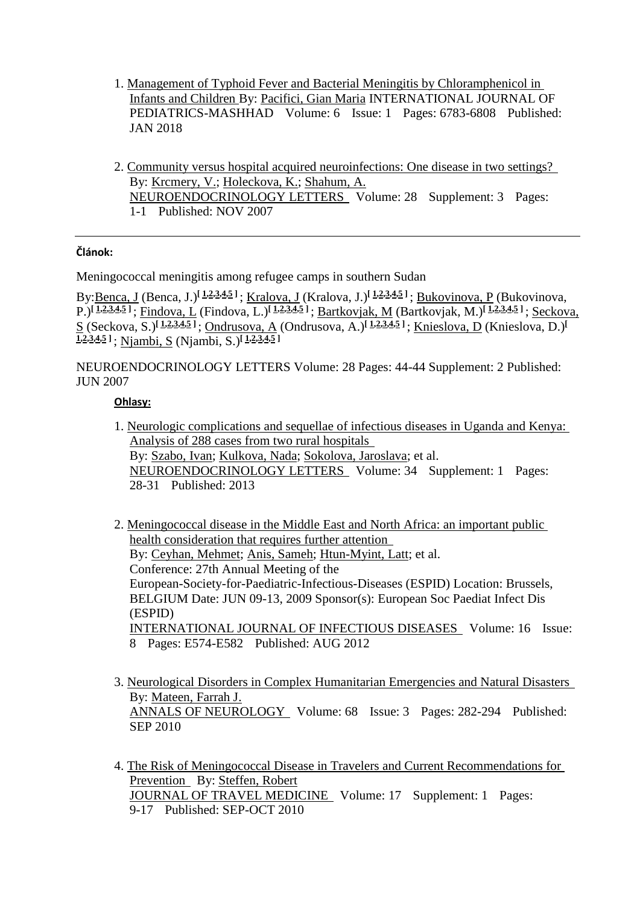- 1. [Management of Typhoid Fever and Bacterial Meningitis by Chloramphenicol in](http://apps.webofknowledge.com.bukz2trh0c7e.han2.savba.sk/full_record.do?product=WOS&search_mode=CitingArticles&qid=48&SID=C6CK3Xj4WkKJydVAUFn&page=1&doc=1)  [Infants and Children B](http://apps.webofknowledge.com.bukz2trh0c7e.han2.savba.sk/full_record.do?product=WOS&search_mode=CitingArticles&qid=48&SID=C6CK3Xj4WkKJydVAUFn&page=1&doc=1)y: [Pacifici, Gian Maria](http://apps.webofknowledge.com.bukz2trh0c7e.han2.savba.sk/DaisyOneClickSearch.do?product=WOS&search_mode=DaisyOneClickSearch&colName=WOS&SID=C6CK3Xj4WkKJydVAUFn&author_name=Pacifici,%20Gian%20Maria&dais_id=123421&excludeEventConfig=ExcludeIfFromFullRecPage) INTERNATIONAL JOURNAL OF PEDIATRICS-MASHHAD Volume: 6 Issue: 1 Pages: 6783-6808 Published: JAN 2018
- 2. [Community versus hospital acquired neuroinfections: One disease in two settings?](http://apps.webofknowledge.com.bukz2trh0c7e.han2.savba.sk/full_record.do?product=WOS&search_mode=CitingArticles&qid=48&SID=C6CK3Xj4WkKJydVAUFn&page=1&doc=2)  By: [Krcmery, V.;](http://apps.webofknowledge.com.bukz2trh0c7e.han2.savba.sk/DaisyOneClickSearch.do?product=WOS&search_mode=DaisyOneClickSearch&colName=WOS&SID=C6CK3Xj4WkKJydVAUFn&author_name=Krcmery,%20V.&dais_id=22478&excludeEventConfig=ExcludeIfFromFullRecPage) [Holeckova, K.;](http://apps.webofknowledge.com.bukz2trh0c7e.han2.savba.sk/DaisyOneClickSearch.do?product=WOS&search_mode=DaisyOneClickSearch&colName=WOS&SID=C6CK3Xj4WkKJydVAUFn&author_name=Holeckova,%20K.&dais_id=2290643&excludeEventConfig=ExcludeIfFromFullRecPage) [Shahum, A.](http://apps.webofknowledge.com.bukz2trh0c7e.han2.savba.sk/DaisyOneClickSearch.do?product=WOS&search_mode=DaisyOneClickSearch&colName=WOS&SID=C6CK3Xj4WkKJydVAUFn&author_name=Shahum,%20A.&dais_id=1563673&excludeEventConfig=ExcludeIfFromFullRecPage) [NEUROENDOCRINOLOGY LETTERS](javascript:;) Volume: 28 Supplement: 3 Pages: 1-1 Published: NOV 2007

#### **Článok:**

Meningococcal meningitis among refugee camps in southern Sudan

By[:Benca, J](http://apps.webofknowledge.com.bukz2trh0c7e.han2.savba.sk/DaisyOneClickSearch.do?product=WOS&search_mode=DaisyOneClickSearch&colName=WOS&SID=C6CK3Xj4WkKJydVAUFn&author_name=Benca,%20J&dais_id=678065&excludeEventConfig=ExcludeIfFromFullRecPage) (Benca, J.)**[\[ 1](javascript:sup_focus()[,2](javascript:sup_focus()[,3](javascript:sup_focus()[,4](javascript:sup_focus()[,5](javascript:sup_focus() ]** ; [Kralova, J](http://apps.webofknowledge.com.bukz2trh0c7e.han2.savba.sk/DaisyOneClickSearch.do?product=WOS&search_mode=DaisyOneClickSearch&colName=WOS&SID=C6CK3Xj4WkKJydVAUFn&author_name=Kralova,%20J&dais_id=403031&excludeEventConfig=ExcludeIfFromFullRecPage) (Kralova, J.)**[\[ 1,](javascript:sup_focus()[2,](javascript:sup_focus()[3,](javascript:sup_focus()[4,](javascript:sup_focus()[5](javascript:sup_focus() ]** ; [Bukovinova, P](http://apps.webofknowledge.com.bukz2trh0c7e.han2.savba.sk/DaisyOneClickSearch.do?product=WOS&search_mode=DaisyOneClickSearch&colName=WOS&SID=C6CK3Xj4WkKJydVAUFn&author_name=Bukovinova,%20P&dais_id=2450706&excludeEventConfig=ExcludeIfFromFullRecPage) (Bukovinova, P.)<sup>[1[,2](javascript:sup_focus()[,3](javascript:sup_focus()[,4](javascript:sup_focus()[,5](javascript:sup_focus()]</sup>; [Findova, L](http://apps.webofknowledge.com.bukz2trh0c7e.han2.savba.sk/DaisyOneClickSearch.do?product=WOS&search_mode=DaisyOneClickSearch&colName=WOS&SID=C6CK3Xj4WkKJydVAUFn&author_name=Findova,%20L&dais_id=3775145&excludeEventConfig=ExcludeIfFromFullRecPage) (Findova, L.)<sup>[1,2,3,4,5]</sup>; [Bartkovjak, M](http://apps.webofknowledge.com.bukz2trh0c7e.han2.savba.sk/DaisyOneClickSearch.do?product=WOS&search_mode=DaisyOneClickSearch&colName=WOS&SID=C6CK3Xj4WkKJydVAUFn&author_name=Bartkovjak,%20M&dais_id=2541721&excludeEventConfig=ExcludeIfFromFullRecPage) (Bartkovjak, M.)<sup>[1,2,3,4,5]</sup>; Seckova,  $S$  (Seckova,  $\overline{S}$ .)<sup>[1,[2,](javascript:sup_focus()[3,](javascript:sup_focus()[4,](javascript:sup_focus()[5](javascript:sup_focus()</sup>]; [Ondrusova, A](http://apps.webofknowledge.com.bukz2trh0c7e.han2.savba.sk/DaisyOneClickSearch.do?product=WOS&search_mode=DaisyOneClickSearch&colName=WOS&SID=C6CK3Xj4WkKJydVAUFn&author_name=Ondrusova,%20A&dais_id=1288561&excludeEventConfig=ExcludeIfFromFullRecPage) (Ondrusova, A.)<sup>[1,[2](javascript:sup_focus()[,3](javascript:sup_focus()[,4](javascript:sup_focus()[,5](javascript:sup_focus()]</sup>; [Knieslova, D](http://apps.webofknowledge.com.bukz2trh0c7e.han2.savba.sk/DaisyOneClickSearch.do?product=WOS&search_mode=DaisyOneClickSearch&colName=WOS&SID=C6CK3Xj4WkKJydVAUFn&author_name=Knieslova,%20D&dais_id=23855859&excludeEventConfig=ExcludeIfFromFullRecPage) (Knieslova, D.)<sup>[1</sup> **[1](javascript:sup_focus()[,2](javascript:sup_focus()[,3](javascript:sup_focus()[,4](javascript:sup_focus()[,5](javascript:sup_focus() ]** ; [Njambi, S](http://apps.webofknowledge.com.bukz2trh0c7e.han2.savba.sk/DaisyOneClickSearch.do?product=WOS&search_mode=DaisyOneClickSearch&colName=WOS&SID=C6CK3Xj4WkKJydVAUFn&author_name=Njambi,%20S&dais_id=7356424&excludeEventConfig=ExcludeIfFromFullRecPage) (Njambi, S.)**[\[ 1](javascript:sup_focus()[,2](javascript:sup_focus()[,3](javascript:sup_focus()[,4](javascript:sup_focus()[,5](javascript:sup_focus() ]** 

NEUROENDOCRINOLOGY LETTERS Volume: 28 Pages: 44-44 Supplement: 2 Published: JUN 2007

#### **Ohlasy:**

- 1. [Neurologic complications and sequellae of infectious diseases in Uganda and Kenya:](http://apps.webofknowledge.com.bukz2trh0c7e.han2.savba.sk/full_record.do?product=WOS&search_mode=CitingArticles&qid=52&SID=C6CK3Xj4WkKJydVAUFn&page=1&doc=1)  [Analysis of 288 cases from two rural hospitals](http://apps.webofknowledge.com.bukz2trh0c7e.han2.savba.sk/full_record.do?product=WOS&search_mode=CitingArticles&qid=52&SID=C6CK3Xj4WkKJydVAUFn&page=1&doc=1)  By: [Szabo, Ivan;](http://apps.webofknowledge.com.bukz2trh0c7e.han2.savba.sk/DaisyOneClickSearch.do?product=WOS&search_mode=DaisyOneClickSearch&colName=WOS&SID=C6CK3Xj4WkKJydVAUFn&author_name=Szabo,%20Ivan&dais_id=8383683&excludeEventConfig=ExcludeIfFromFullRecPage) [Kulkova, Nada;](http://apps.webofknowledge.com.bukz2trh0c7e.han2.savba.sk/DaisyOneClickSearch.do?product=WOS&search_mode=DaisyOneClickSearch&colName=WOS&SID=C6CK3Xj4WkKJydVAUFn&author_name=Kulkova,%20Nada&dais_id=2302307&excludeEventConfig=ExcludeIfFromFullRecPage) [Sokolova, Jaroslava;](http://apps.webofknowledge.com.bukz2trh0c7e.han2.savba.sk/DaisyOneClickSearch.do?product=WOS&search_mode=DaisyOneClickSearch&colName=WOS&SID=C6CK3Xj4WkKJydVAUFn&author_name=Sokolova,%20Jaroslava&dais_id=2705300&excludeEventConfig=ExcludeIfFromFullRecPage) et al. [NEUROENDOCRINOLOGY LETTERS](javascript:;) Volume: 34 Supplement: 1 Pages: 28-31 Published: 2013
- 2. [Meningococcal disease in the Middle East and North Africa: an important public](http://apps.webofknowledge.com.bukz2trh0c7e.han2.savba.sk/full_record.do?product=WOS&search_mode=CitingArticles&qid=52&SID=C6CK3Xj4WkKJydVAUFn&page=1&doc=2)  [health consideration that requires further attention](http://apps.webofknowledge.com.bukz2trh0c7e.han2.savba.sk/full_record.do?product=WOS&search_mode=CitingArticles&qid=52&SID=C6CK3Xj4WkKJydVAUFn&page=1&doc=2)  By: [Ceyhan, Mehmet;](http://apps.webofknowledge.com.bukz2trh0c7e.han2.savba.sk/DaisyOneClickSearch.do?product=WOS&search_mode=DaisyOneClickSearch&colName=WOS&SID=C6CK3Xj4WkKJydVAUFn&author_name=Ceyhan,%20Mehmet&dais_id=98483&excludeEventConfig=ExcludeIfFromFullRecPage) [Anis, Sameh;](http://apps.webofknowledge.com.bukz2trh0c7e.han2.savba.sk/DaisyOneClickSearch.do?product=WOS&search_mode=DaisyOneClickSearch&colName=WOS&SID=C6CK3Xj4WkKJydVAUFn&author_name=Anis,%20Sameh&dais_id=5048807&excludeEventConfig=ExcludeIfFromFullRecPage) [Htun-Myint, Latt;](http://apps.webofknowledge.com.bukz2trh0c7e.han2.savba.sk/DaisyOneClickSearch.do?product=WOS&search_mode=DaisyOneClickSearch&colName=WOS&SID=C6CK3Xj4WkKJydVAUFn&author_name=Htun-Myint,%20Latt&dais_id=11391051&excludeEventConfig=ExcludeIfFromFullRecPage) et al. Conference: 27th Annual Meeting of the European-Society-for-Paediatric-Infectious-Diseases (ESPID) Location: Brussels, BELGIUM Date: JUN 09-13, 2009 Sponsor(s): European Soc Paediat Infect Dis (ESPID) [INTERNATIONAL JOURNAL OF INFECTIOUS DISEASES](javascript:;) Volume: 16 Issue: 8 Pages: E574-E582 Published: AUG 2012
- 3. [Neurological Disorders in Complex Humanitarian Emergencies and Natural Disasters](http://apps.webofknowledge.com.bukz2trh0c7e.han2.savba.sk/full_record.do?product=WOS&search_mode=CitingArticles&qid=52&SID=C6CK3Xj4WkKJydVAUFn&page=1&doc=3)  By: [Mateen, Farrah J.](http://apps.webofknowledge.com.bukz2trh0c7e.han2.savba.sk/DaisyOneClickSearch.do?product=WOS&search_mode=DaisyOneClickSearch&colName=WOS&SID=C6CK3Xj4WkKJydVAUFn&author_name=Mateen,%20Farrah%20J.&dais_id=146375&excludeEventConfig=ExcludeIfFromFullRecPage) [ANNALS OF NEUROLOGY](javascript:;) Volume: 68 Issue: 3 Pages: 282-294 Published: SEP 2010
- 4. [The Risk of Meningococcal Disease in Travelers and Current Recommendations for](http://apps.webofknowledge.com.bukz2trh0c7e.han2.savba.sk/full_record.do?product=WOS&search_mode=CitingArticles&qid=52&SID=C6CK3Xj4WkKJydVAUFn&page=1&doc=4)  [Prevention](http://apps.webofknowledge.com.bukz2trh0c7e.han2.savba.sk/full_record.do?product=WOS&search_mode=CitingArticles&qid=52&SID=C6CK3Xj4WkKJydVAUFn&page=1&doc=4) By: [Steffen, Robert](http://apps.webofknowledge.com.bukz2trh0c7e.han2.savba.sk/DaisyOneClickSearch.do?product=WOS&search_mode=DaisyOneClickSearch&colName=WOS&SID=C6CK3Xj4WkKJydVAUFn&author_name=Steffen,%20Robert&dais_id=27715&excludeEventConfig=ExcludeIfFromFullRecPage) [JOURNAL OF TRAVEL MEDICINE](javascript:;) Volume: 17 Supplement: 1 Pages: 9-17 Published: SEP-OCT 2010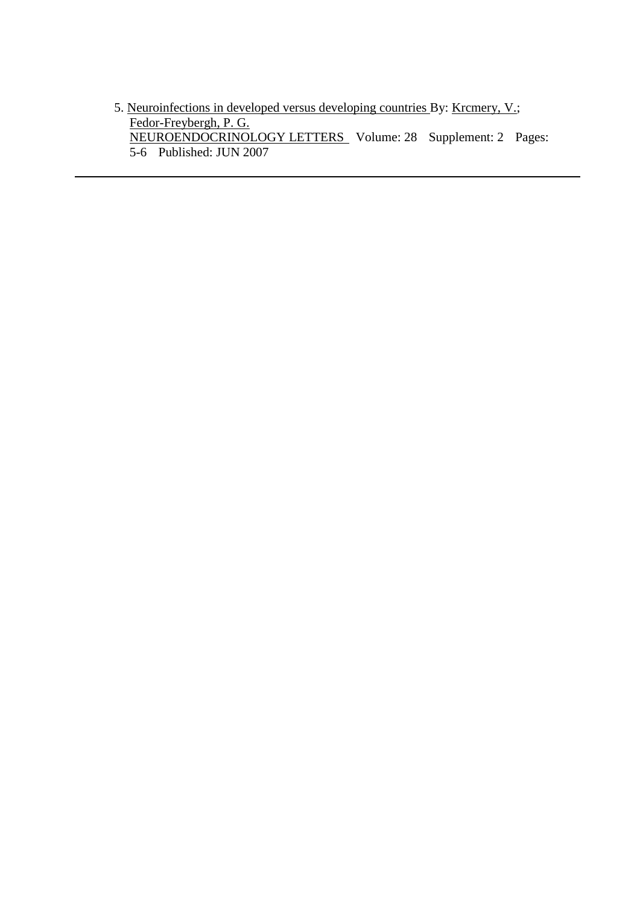5. [Neuroinfections in developed versus developing countries B](http://apps.webofknowledge.com.bukz2trh0c7e.han2.savba.sk/full_record.do?product=WOS&search_mode=CitingArticles&qid=52&SID=C6CK3Xj4WkKJydVAUFn&page=1&doc=5)y: [Krcmery, V.;](http://apps.webofknowledge.com.bukz2trh0c7e.han2.savba.sk/DaisyOneClickSearch.do?product=WOS&search_mode=DaisyOneClickSearch&colName=WOS&SID=C6CK3Xj4WkKJydVAUFn&author_name=Krcmery,%20V.&dais_id=22478&excludeEventConfig=ExcludeIfFromFullRecPage) [Fedor-Freybergh, P. G.](http://apps.webofknowledge.com.bukz2trh0c7e.han2.savba.sk/DaisyOneClickSearch.do?product=WOS&search_mode=DaisyOneClickSearch&colName=WOS&SID=C6CK3Xj4WkKJydVAUFn&author_name=Fedor-Freybergh,%20P.%20G.&dais_id=811310&excludeEventConfig=ExcludeIfFromFullRecPage) [NEUROENDOCRINOLOGY LETTERS](javascript:;) Volume: 28 Supplement: 2 Pages: 5-6 Published: JUN 2007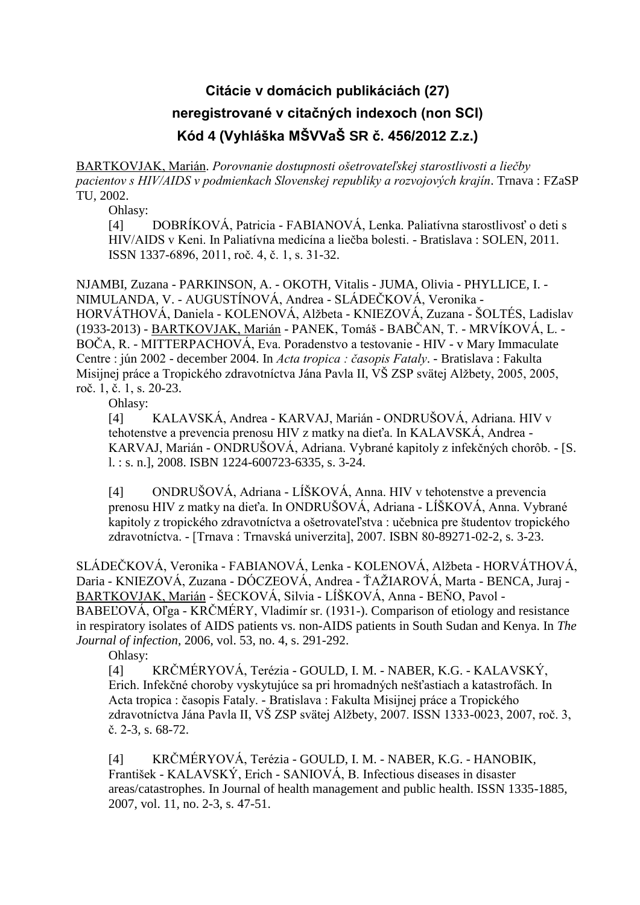# **Citácie v domácich publikáciách (27) neregistrované v citačných indexoch (non SCI) Kód 4 (Vyhláška MŠVVaŠ SR č. 456/2012 Z.z.)**

BARTKOVJAK, Marián. *Porovnanie dostupnosti ošetrovateľskej starostlivosti a liečby pacientov s HIV/AIDS v podmienkach Slovenskej republiky a rozvojových krajín*. Trnava : FZaSP TU, 2002.

Ohlasy:

[4] DOBRÍKOVÁ, Patricia - FABIANOVÁ, Lenka. Paliatívna starostlivosť o deti s HIV/AIDS v Keni. In Paliatívna medicína a liečba bolesti. - Bratislava : SOLEN, 2011. ISSN 1337-6896, 2011, roč. 4, č. 1, s. 31-32.

NJAMBI, Zuzana - PARKINSON, A. - OKOTH, Vitalis - JUMA, Olivia - PHYLLICE, I. - NIMULANDA, V. - AUGUSTÍNOVÁ, Andrea - SLÁDEČKOVÁ, Veronika - HORVÁTHOVÁ, Daniela - KOLENOVÁ, Alžbeta - KNIEZOVÁ, Zuzana - ŠOLTÉS, Ladislav (1933-2013) - BARTKOVJAK, Marián - PANEK, Tomáš - BABČAN, T. - MRVÍKOVÁ, L. - BOČA, R. - MITTERPACHOVÁ, Eva. Poradenstvo a testovanie - HIV - v Mary Immaculate Centre : jún 2002 - december 2004. In *Acta tropica : časopis Fataly*. - Bratislava : Fakulta Misijnej práce a Tropického zdravotníctva Jána Pavla II, VŠ ZSP svätej Alžbety, 2005, 2005, roč. 1, č. 1, s. 20-23.

Ohlasy:

[4] KALAVSKÁ, Andrea - KARVAJ, Marián - ONDRUŠOVÁ, Adriana. HIV v tehotenstve a prevencia prenosu HIV z matky na dieťa. In KALAVSKÁ, Andrea - KARVAJ, Marián - ONDRUŠOVÁ, Adriana. Vybrané kapitoly z infekčných chorôb. - [S. l. : s. n.], 2008. ISBN 1224-600723-6335, s. 3-24.

[4] ONDRUŠOVÁ, Adriana - LÍŠKOVÁ, Anna. HIV v tehotenstve a prevencia prenosu HIV z matky na dieťa. In ONDRUŠOVÁ, Adriana - LÍŠKOVÁ, Anna. Vybrané kapitoly z tropického zdravotníctva a ošetrovateľstva : učebnica pre študentov tropického zdravotníctva. - [Trnava : Trnavská univerzita], 2007. ISBN 80-89271-02-2, s. 3-23.

SLÁDEČKOVÁ, Veronika - FABIANOVÁ, Lenka - KOLENOVÁ, Alžbeta - HORVÁTHOVÁ, Daria - KNIEZOVÁ, Zuzana - DÓCZEOVÁ, Andrea - ŤAŽIAROVÁ, Marta - BENCA, Juraj - BARTKOVJAK, Marián - ŠECKOVÁ, Silvia - LÍŠKOVÁ, Anna - BEŇO, Pavol - BABEĽOVÁ, Oľga - KRČMÉRY, Vladimír sr. (1931-). Comparison of etiology and resistance in respiratory isolates of AIDS patients vs. non-AIDS patients in South Sudan and Kenya. In *The Journal of infection*, 2006, vol. 53, no. 4, s. 291-292.

Ohlasy:

[4] KRČMÉRYOVÁ, Terézia - GOULD, I. M. - NABER, K.G. - KALAVSKÝ, Erich. Infekčné choroby vyskytujúce sa pri hromadných nešťastiach a katastrofách. In Acta tropica : časopis Fataly. - Bratislava : Fakulta Misijnej práce a Tropického zdravotníctva Jána Pavla II, VŠ ZSP svätej Alžbety, 2007. ISSN 1333-0023, 2007, roč. 3, č. 2-3, s. 68-72.

[4] KRČMÉRYOVÁ, Terézia - GOULD, I. M. - NABER, K.G. - HANOBIK, František - KALAVSKÝ, Erich - SANIOVÁ, B. Infectious diseases in disaster areas/catastrophes. In Journal of health management and public health. ISSN 1335-1885, 2007, vol. 11, no. 2-3, s. 47-51.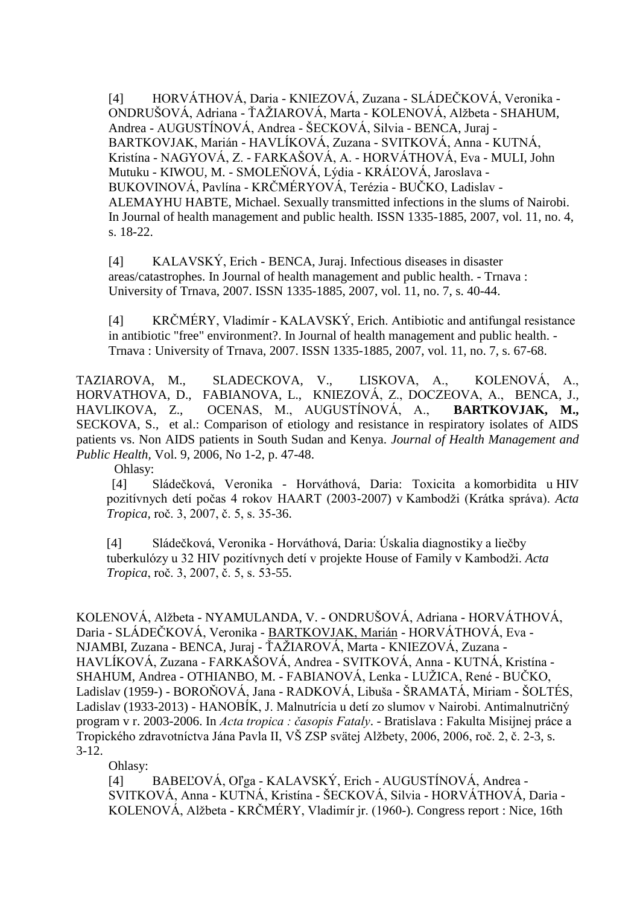[4] HORVÁTHOVÁ, Daria - KNIEZOVÁ, Zuzana - SLÁDEČKOVÁ, Veronika - ONDRUŠOVÁ, Adriana - ŤAŽIAROVÁ, Marta - KOLENOVÁ, Alžbeta - SHAHUM, Andrea - AUGUSTÍNOVÁ, Andrea - ŠECKOVÁ, Silvia - BENCA, Juraj - BARTKOVJAK, Marián - HAVLÍKOVÁ, Zuzana - SVITKOVÁ, Anna - KUTNÁ, Kristína - NAGYOVÁ, Z. - FARKAŠOVÁ, A. - HORVÁTHOVÁ, Eva - MULI, John Mutuku - KIWOU, M. - SMOLEŇOVÁ, Lýdia - KRÁĽOVÁ, Jaroslava - BUKOVINOVÁ, Pavlína - KRČMÉRYOVÁ, Terézia - BUČKO, Ladislav - ALEMAYHU HABTE, Michael. Sexually transmitted infections in the slums of Nairobi. In Journal of health management and public health. ISSN 1335-1885, 2007, vol. 11, no. 4, s. 18-22.

[4] KALAVSKÝ, Erich - BENCA, Juraj. Infectious diseases in disaster areas/catastrophes. In Journal of health management and public health. - Trnava : University of Trnava, 2007. ISSN 1335-1885, 2007, vol. 11, no. 7, s. 40-44.

[4] KRČMÉRY, Vladimír - KALAVSKÝ, Erich. Antibiotic and antifungal resistance in antibiotic "free" environment?. In Journal of health management and public health. - Trnava : University of Trnava, 2007. ISSN 1335-1885, 2007, vol. 11, no. 7, s. 67-68.

TAZIAROVA, M., SLADECKOVA, V., LISKOVA, A., KOLENOVÁ, A., HORVATHOVA, D., FABIANOVA, L., KNIEZOVÁ, Z., DOCZEOVA, A., BENCA, J., HAVLIKOVA, Z., OCENAS, M., AUGUSTÍNOVÁ, A., **BARTKOVJAK, M.,**  SECKOVA, S., et al.: Comparison of etiology and resistance in respiratory isolates of AIDS patients vs. Non AIDS patients in South Sudan and Kenya. *Journal of Health Management and Public Health,* Vol. 9, 2006, No 1-2, p. 47-48.

Ohlasy:

[4] Sládečková, Veronika - Horváthová, Daria: Toxicita a komorbidita u HIV pozitívnych detí počas 4 rokov HAART (2003-2007) v Kambodži (Krátka správa). *Acta Tropica,* roč. 3, 2007, č. 5, s. 35-36.

[4] Sládečková, Veronika - Horváthová, Daria: Úskalia diagnostiky a liečby tuberkulózy u 32 HIV pozitívnych detí v projekte House of Family v Kambodži. *Acta Tropica*, roč. 3, 2007, č. 5, s. 53-55.

KOLENOVÁ, Alžbeta - NYAMULANDA, V. - ONDRUŠOVÁ, Adriana - HORVÁTHOVÁ, Daria - SLÁDEČKOVÁ, Veronika - BARTKOVJAK, Marián - HORVÁTHOVÁ, Eva - NJAMBI, Zuzana - BENCA, Juraj - ŤAŽIAROVÁ, Marta - KNIEZOVÁ, Zuzana - HAVLÍKOVÁ, Zuzana - FARKAŠOVÁ, Andrea - SVITKOVÁ, Anna - KUTNÁ, Kristína - SHAHUM, Andrea - OTHIANBO, M. - FABIANOVÁ, Lenka - LUŽICA, René - BUČKO, Ladislav (1959-) - BOROŇOVÁ, Jana - RADKOVÁ, Libuša - ŠRAMATÁ, Miriam - ŠOLTÉS, Ladislav (1933-2013) - HANOBÍK, J. Malnutrícia u detí zo slumov v Nairobi. Antimalnutričný program v r. 2003-2006. In *Acta tropica : časopis Fataly*. - Bratislava : Fakulta Misijnej práce a Tropického zdravotníctva Jána Pavla II, VŠ ZSP svätej Alžbety, 2006, 2006, roč. 2, č. 2-3, s.  $3 - 12.$ 

Ohlasy:

[4] BABEĽOVÁ, Oľga - KALAVSKÝ, Erich - AUGUSTÍNOVÁ, Andrea - SVITKOVÁ, Anna - KUTNÁ, Kristína - ŠECKOVÁ, Silvia - HORVÁTHOVÁ, Daria - KOLENOVÁ, Alžbeta - KRČMÉRY, Vladimír jr. (1960-). Congress report : Nice, 16th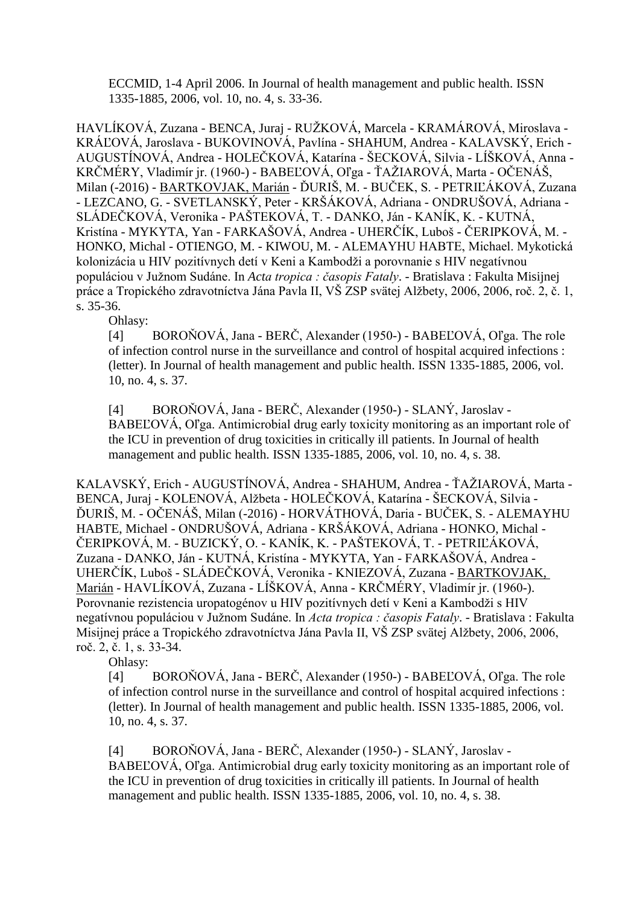ECCMID, 1-4 April 2006. In Journal of health management and public health. ISSN 1335-1885, 2006, vol. 10, no. 4, s. 33-36.

HAVLÍKOVÁ, Zuzana - BENCA, Juraj - RUŽKOVÁ, Marcela - KRAMÁROVÁ, Miroslava - KRÁĽOVÁ, Jaroslava - BUKOVINOVÁ, Pavlína - SHAHUM, Andrea - KALAVSKÝ, Erich - AUGUSTÍNOVÁ, Andrea - HOLEČKOVÁ, Katarína - ŠECKOVÁ, Silvia - LÍŠKOVÁ, Anna - KRČMÉRY, Vladimír jr. (1960-) - BABEĽOVÁ, Oľga - ŤAŽIAROVÁ, Marta - OČENÁŠ, Milan (-2016) - BARTKOVJAK, Marián - ĎURIŠ, M. - BUČEK, S. - PETRIĽÁKOVÁ, Zuzana - LEZCANO, G. - SVETLANSKÝ, Peter - KRŠÁKOVÁ, Adriana - ONDRUŠOVÁ, Adriana - SLÁDEČKOVÁ, Veronika - PAŠTEKOVÁ, T. - DANKO, Ján - KANÍK, K. - KUTNÁ, Kristína - MYKYTA, Yan - FARKAŠOVÁ, Andrea - UHERČÍK, Luboš - ČERIPKOVÁ, M. - HONKO, Michal - OTIENGO, M. - KIWOU, M. - ALEMAYHU HABTE, Michael. Mykotická kolonizácia u HIV pozitívnych detí v Keni a Kambodži a porovnanie s HIV negatívnou populáciou v Južnom Sudáne. In *Acta tropica : časopis Fataly*. - Bratislava : Fakulta Misijnej práce a Tropického zdravotníctva Jána Pavla II, VŠ ZSP svätej Alžbety, 2006, 2006, roč. 2, č. 1, s. 35-36.

Ohlasy:

[4] BOROŇOVÁ, Jana - BERČ, Alexander (1950-) - BABEĽOVÁ, Oľga. The role of infection control nurse in the surveillance and control of hospital acquired infections : (letter). In Journal of health management and public health. ISSN 1335-1885, 2006, vol. 10, no. 4, s. 37.

[4] BOROŇOVÁ, Jana - BERČ, Alexander (1950-) - SLANÝ, Jaroslav - BABEĽOVÁ, Oľga. Antimicrobial drug early toxicity monitoring as an important role of the ICU in prevention of drug toxicities in critically ill patients. In Journal of health management and public health. ISSN 1335-1885, 2006, vol. 10, no. 4, s. 38.

KALAVSKÝ, Erich - AUGUSTÍNOVÁ, Andrea - SHAHUM, Andrea - ŤAŽIAROVÁ, Marta - BENCA, Juraj - KOLENOVÁ, Alžbeta - HOLEČKOVÁ, Katarína - ŠECKOVÁ, Silvia - ĎURIŠ, M. - OČENÁŠ, Milan (-2016) - HORVÁTHOVÁ, Daria - BUČEK, S. - ALEMAYHU HABTE, Michael - ONDRUŠOVÁ, Adriana - KRŠÁKOVÁ, Adriana - HONKO, Michal - ČERIPKOVÁ, M. - BUZICKÝ, O. - KANÍK, K. - PAŠTEKOVÁ, T. - PETRIĽÁKOVÁ, Zuzana - DANKO, Ján - KUTNÁ, Kristína - MYKYTA, Yan - FARKAŠOVÁ, Andrea - UHERČÍK, Luboš - SLÁDEČKOVÁ, Veronika - KNIEZOVÁ, Zuzana - BARTKOVJAK, Marián - HAVLÍKOVÁ, Zuzana - LÍŠKOVÁ, Anna - KRČMÉRY, Vladimír jr. (1960-). Porovnanie rezistencia uropatogénov u HIV pozitívnych detí v Keni a Kambodži s HIV negatívnou populáciou v Južnom Sudáne. In *Acta tropica : časopis Fataly*. - Bratislava : Fakulta Misijnej práce a Tropického zdravotníctva Jána Pavla II, VŠ ZSP svätej Alžbety, 2006, 2006, roč. 2, č. 1, s. 33-34.

Ohlasy:

[4] BOROŇOVÁ, Jana - BERČ, Alexander (1950-) - BABEĽOVÁ, Oľga. The role of infection control nurse in the surveillance and control of hospital acquired infections : (letter). In Journal of health management and public health. ISSN 1335-1885, 2006, vol. 10, no. 4, s. 37.

[4] BOROŇOVÁ, Jana - BERČ, Alexander (1950-) - SLANÝ, Jaroslav - BABEĽOVÁ, Oľga. Antimicrobial drug early toxicity monitoring as an important role of the ICU in prevention of drug toxicities in critically ill patients. In Journal of health management and public health. ISSN 1335-1885, 2006, vol. 10, no. 4, s. 38.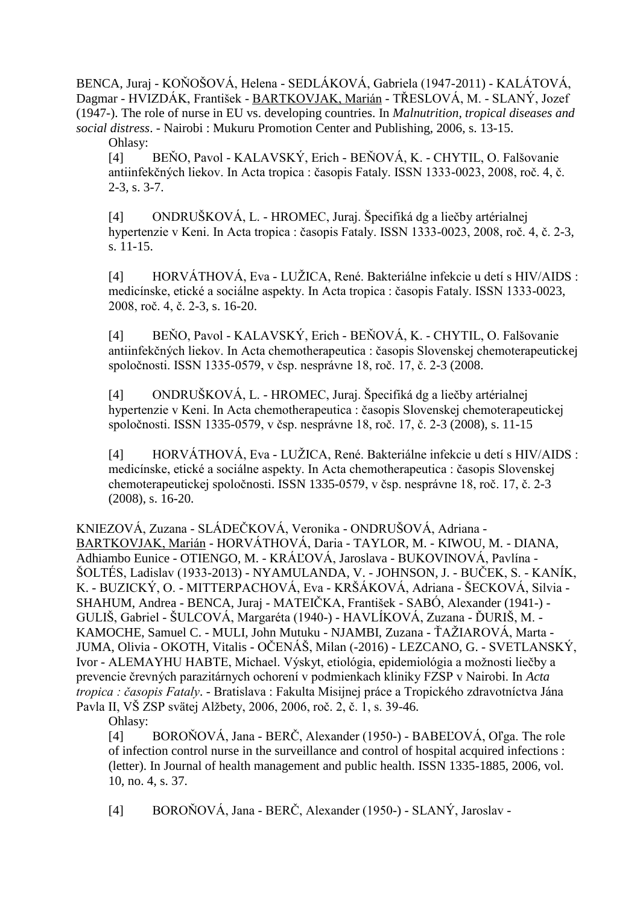BENCA, Juraj - KOŇOŠOVÁ, Helena - SEDLÁKOVÁ, Gabriela (1947-2011) - KALÁTOVÁ, Dagmar - HVIZDÁK, František - BARTKOVJAK, Marián - TŘESLOVÁ, M. - SLANÝ, Jozef (1947-). The role of nurse in EU vs. developing countries. In *Malnutrition, tropical diseases and social distress*. - Nairobi : Mukuru Promotion Center and Publishing, 2006, s. 13-15. Ohlasy:

[4] BEŇO, Pavol - KALAVSKÝ, Erich - BEŇOVÁ, K. - CHYTIL, O. Falšovanie antiinfekčných liekov. In Acta tropica : časopis Fataly. ISSN 1333-0023, 2008, roč. 4, č. 2-3, s. 3-7.

[4] ONDRUŠKOVÁ, L. - HROMEC, Juraj. Špecifiká dg a liečby artérialnej hypertenzie v Keni. In Acta tropica : časopis Fataly. ISSN 1333-0023, 2008, roč. 4, č. 2-3, s. 11-15.

[4] HORVÁTHOVÁ, Eva - LUŽICA, René. Bakteriálne infekcie u detí s HIV/AIDS : medicínske, etické a sociálne aspekty. In Acta tropica : časopis Fataly. ISSN 1333-0023, 2008, roč. 4, č. 2-3, s. 16-20.

[4] BEŇO, Pavol - KALAVSKÝ, Erich - BEŇOVÁ, K. - CHYTIL, O. Falšovanie antiinfekčných liekov. In Acta chemotherapeutica : časopis Slovenskej chemoterapeutickej spoločnosti. ISSN 1335-0579, v čsp. nesprávne 18, roč. 17, č. 2-3 (2008.

[4] ONDRUŠKOVÁ, L. - HROMEC, Juraj. Špecifiká dg a liečby artérialnej hypertenzie v Keni. In Acta chemotherapeutica : časopis Slovenskej chemoterapeutickej spoločnosti. ISSN 1335-0579, v čsp. nesprávne 18, roč. 17, č. 2-3 (2008), s. 11-15

[4] HORVÁTHOVÁ, Eva - LUŽICA, René. Bakteriálne infekcie u detí s HIV/AIDS : medicínske, etické a sociálne aspekty. In Acta chemotherapeutica : časopis Slovenskej chemoterapeutickej spoločnosti. ISSN 1335-0579, v čsp. nesprávne 18, roč. 17, č. 2-3 (2008), s. 16-20.

KNIEZOVÁ, Zuzana - SLÁDEČKOVÁ, Veronika - ONDRUŠOVÁ, Adriana - BARTKOVJAK, Marián - HORVÁTHOVÁ, Daria - TAYLOR, M. - KIWOU, M. - DIANA, Adhiambo Eunice - OTIENGO, M. - KRÁĽOVÁ, Jaroslava - BUKOVINOVÁ, Pavlína - ŠOLTÉS, Ladislav (1933-2013) - NYAMULANDA, V. - JOHNSON, J. - BUČEK, S. - KANÍK, K. - BUZICKÝ, O. - MITTERPACHOVÁ, Eva - KRŠÁKOVÁ, Adriana - ŠECKOVÁ, Silvia - SHAHUM, Andrea - BENCA, Juraj - MATEIČKA, František - SABÓ, Alexander (1941-) - GULIŠ, Gabriel - ŠULCOVÁ, Margaréta (1940-) - HAVLÍKOVÁ, Zuzana - ĎURIŠ, M. - KAMOCHE, Samuel C. - MULI, John Mutuku - NJAMBI, Zuzana - ŤAŽIAROVÁ, Marta - JUMA, Olivia - OKOTH, Vitalis - OČENÁŠ, Milan (-2016) - LEZCANO, G. - SVETLANSKÝ, Ivor - ALEMAYHU HABTE, Michael. Výskyt, etiológia, epidemiológia a možnosti liečby a prevencie črevných parazitárnych ochorení v podmienkach kliniky FZSP v Nairobi. In *Acta tropica : časopis Fataly*. - Bratislava : Fakulta Misijnej práce a Tropického zdravotníctva Jána Pavla II, VŠ ZSP svätej Alžbety, 2006, 2006, roč. 2, č. 1, s. 39-46.

Ohlasy:

[4] BOROŇOVÁ, Jana - BERČ, Alexander (1950-) - BABEĽOVÁ, Oľga. The role of infection control nurse in the surveillance and control of hospital acquired infections : (letter). In Journal of health management and public health. ISSN 1335-1885, 2006, vol. 10, no. 4, s. 37.

[4] BOROŇOVÁ, Jana - BERČ, Alexander (1950-) - SLANÝ, Jaroslav -